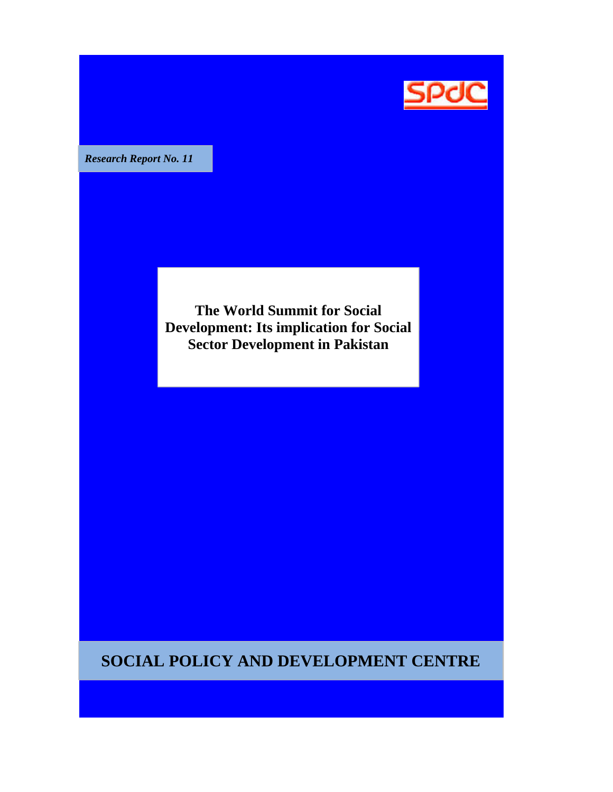

*Research Report No 11 No.* 

**The World Summit for Social Development: Its implication for Social Sector Development in Pakistan**

**SOCIAL POLICY AND DEVELOPMENT CENTRE**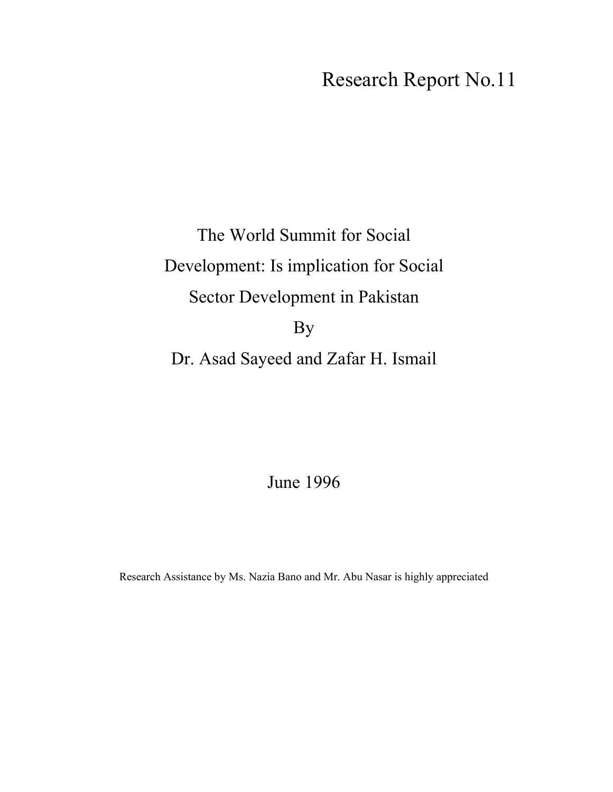## Research Report No.11

# The World Summit for Social Development: Is implication for Social Sector Development in Pakistan By Dr. Asad Sayeed and Zafar H. Ismail

June 1996

Research Assistance by Ms. Nazia Bano and Mr. Abu Nasar is highly appreciated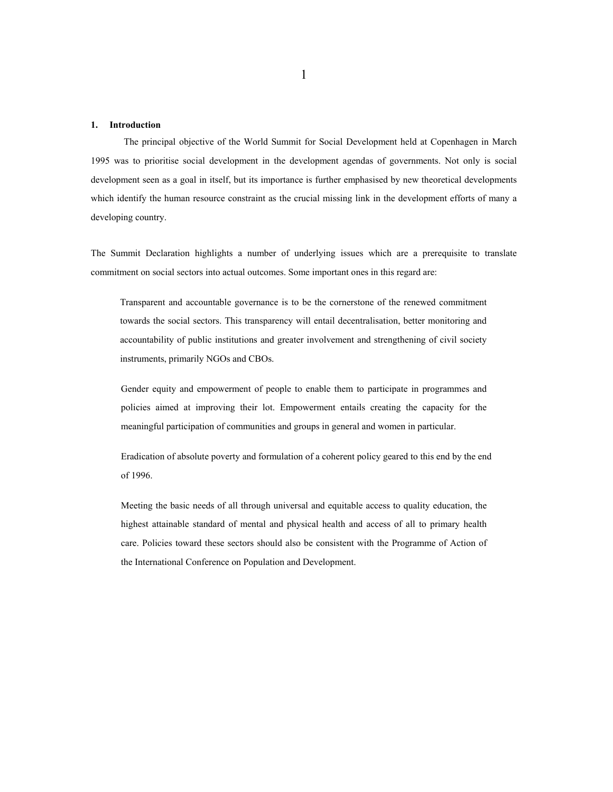#### **1. Introduction**

The principal objective of the World Summit for Social Development held at Copenhagen in March 1995 was to prioritise social development in the development agendas of governments. Not only is social development seen as a goal in itself, but its importance is further emphasised by new theoretical developments which identify the human resource constraint as the crucial missing link in the development efforts of many a developing country.

The Summit Declaration highlights a number of underlying issues which are a prerequisite to translate commitment on social sectors into actual outcomes. Some important ones in this regard are:

Transparent and accountable governance is to be the cornerstone of the renewed commitment towards the social sectors. This transparency will entail decentralisation, better monitoring and accountability of public institutions and greater involvement and strengthening of civil society instruments, primarily NGOs and CBOs.

Gender equity and empowerment of people to enable them to participate in programmes and policies aimed at improving their lot. Empowerment entails creating the capacity for the meaningful participation of communities and groups in general and women in particular.

Eradication of absolute poverty and formulation of a coherent policy geared to this end by the end of 1996.

Meeting the basic needs of all through universal and equitable access to quality education, the highest attainable standard of mental and physical health and access of all to primary health care. Policies toward these sectors should also be consistent with the Programme of Action of the International Conference on Population and Development.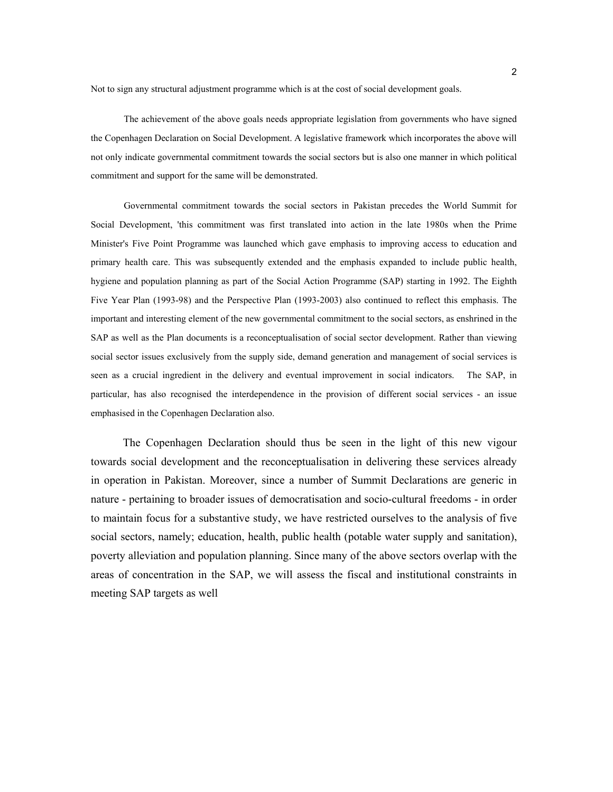Not to sign any structural adjustment programme which is at the cost of social development goals.

The achievement of the above goals needs appropriate legislation from governments who have signed the Copenhagen Declaration on Social Development. A legislative framework which incorporates the above will not only indicate governmental commitment towards the social sectors but is also one manner in which political commitment and support for the same will be demonstrated.

Governmental commitment towards the social sectors in Pakistan precedes the World Summit for Social Development, 'this commitment was first translated into action in the late 1980s when the Prime Minister's Five Point Programme was launched which gave emphasis to improving access to education and primary health care. This was subsequently extended and the emphasis expanded to include public health, hygiene and population planning as part of the Social Action Programme (SAP) starting in 1992. The Eighth Five Year Plan (1993-98) and the Perspective Plan (1993-2003) also continued to reflect this emphasis. The important and interesting element of the new governmental commitment to the social sectors, as enshrined in the SAP as well as the Plan documents is a reconceptualisation of social sector development. Rather than viewing social sector issues exclusively from the supply side, demand generation and management of social services is seen as a crucial ingredient in the delivery and eventual improvement in social indicators. The SAP, in particular, has also recognised the interdependence in the provision of different social services - an issue emphasised in the Copenhagen Declaration also.

The Copenhagen Declaration should thus be seen in the light of this new vigour towards social development and the reconceptualisation in delivering these services already in operation in Pakistan. Moreover, since a number of Summit Declarations are generic in nature - pertaining to broader issues of democratisation and socio-cultural freedoms - in order to maintain focus for a substantive study, we have restricted ourselves to the analysis of five social sectors, namely; education, health, public health (potable water supply and sanitation), poverty alleviation and population planning. Since many of the above sectors overlap with the areas of concentration in the SAP, we will assess the fiscal and institutional constraints in meeting SAP targets as well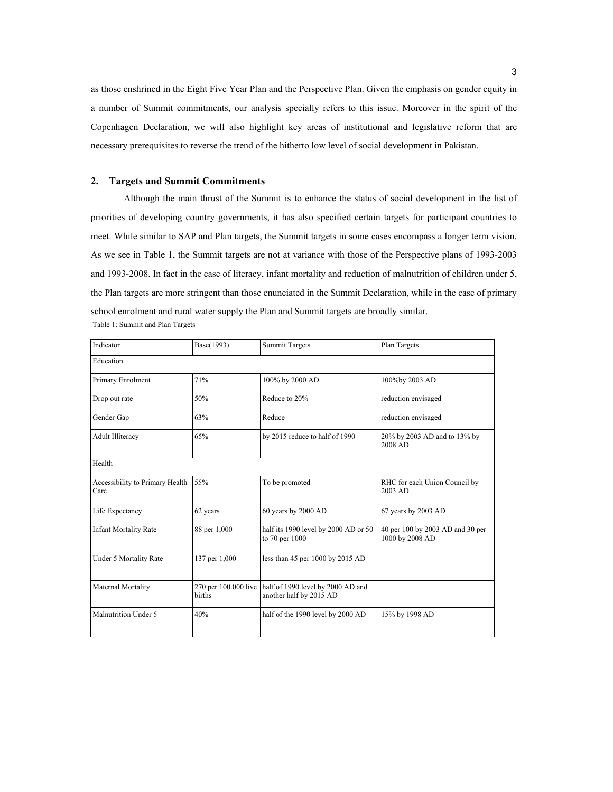as those enshrined in the Eight Five Year Plan and the Perspective Plan. Given the emphasis on gender equity in a number of Summit commitments, our analysis specially refers to this issue. Moreover in the spirit of the Copenhagen Declaration, we will also highlight key areas of institutional and legislative reform that are necessary prerequisites to reverse the trend of the hitherto low level of social development in Pakistan.

#### **2. Targets and Summit Commitments**

Although the main thrust of the Summit is to enhance the status of social development in the list of priorities of developing country governments, it has also specified certain targets for participant countries to meet. While similar to SAP and Plan targets, the Summit targets in some cases encompass a longer term vision. As we see in Table 1, the Summit targets are not at variance with those of the Perspective plans of 1993-2003 and 1993-2008. In fact in the case of literacy, infant mortality and reduction of malnutrition of children under 5, the Plan targets are more stringent than those enunciated in the Summit Declaration, while in the case of primary school enrolment and rural water supply the Plan and Summit targets are broadly similar. Table 1: Summit and Plan Targets

| Indicator                               | Base(1993)                     | <b>Summit Targets</b>                                        | Plan Targets                                        |  |
|-----------------------------------------|--------------------------------|--------------------------------------------------------------|-----------------------------------------------------|--|
| Education                               |                                |                                                              |                                                     |  |
| Primary Enrolment                       | 71%                            | 100% by 2000 AD                                              | 100%by 2003 AD                                      |  |
| Drop out rate                           | 50%                            | Reduce to 20%                                                | reduction envisaged                                 |  |
| Gender Gap                              | 63%                            | Reduce                                                       | reduction envisaged                                 |  |
| <b>Adult Illiteracy</b>                 | 65%                            | by 2015 reduce to half of 1990                               | 20% by 2003 AD and to 13% by<br>2008 AD             |  |
| Health                                  |                                |                                                              |                                                     |  |
| Accessibility to Primary Health<br>Care | 55%                            | To be promoted                                               | RHC for each Union Council by<br>2003 AD            |  |
| Life Expectancy                         | 62 years                       | 60 years by 2000 AD                                          | 67 years by 2003 AD                                 |  |
| <b>Infant Mortality Rate</b>            | 88 per 1,000                   | half its 1990 level by 2000 AD or 50<br>to 70 per 1000       | 40 per 100 by 2003 AD and 30 per<br>1000 by 2008 AD |  |
| Under 5 Mortality Rate                  | 137 per 1,000                  | less than 45 per 1000 by 2015 AD                             |                                                     |  |
| Maternal Mortality                      | 270 per 100.000 live<br>births | half of 1990 level by 2000 AD and<br>another half by 2015 AD |                                                     |  |
| Malnutrition Under 5                    | 40%                            | half of the 1990 level by 2000 AD                            | 15% by 1998 AD                                      |  |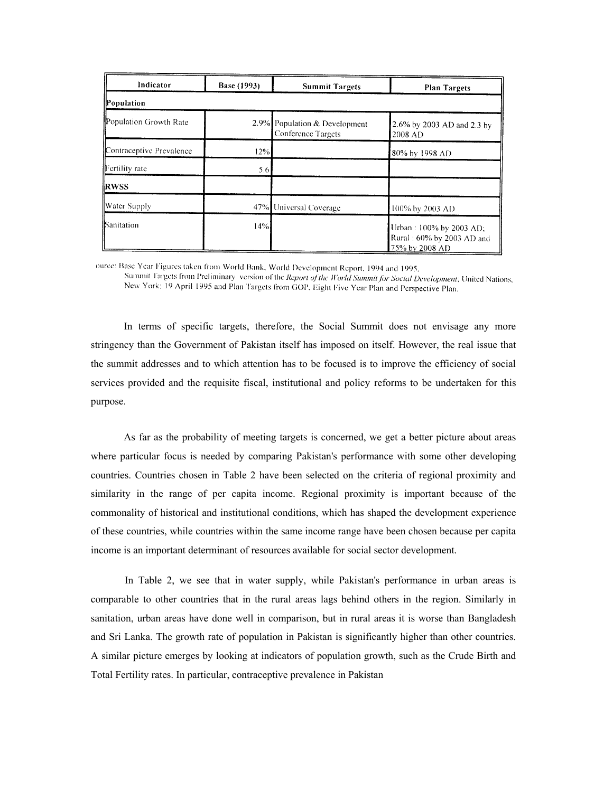| Indicator                | Base (1993) | <b>Summit Targets</b>                               | <b>Plan Targets</b>                                                    |
|--------------------------|-------------|-----------------------------------------------------|------------------------------------------------------------------------|
| Population               |             |                                                     |                                                                        |
| Population Growth Rate   |             | 2.9% Population & Development<br>Conference Targets | 2.6% by 2003 AD and 2.3 by<br>2008 AD                                  |
| Contraceptive Prevalence | 12%         |                                                     | 80% by 1998 AD                                                         |
| Fertility rate           | 5.6         |                                                     |                                                                        |
| <b>RWSS</b>              |             |                                                     |                                                                        |
| Water Supply             |             | 47% Universal Coverage                              | 100% by 2003 AD                                                        |
| Sanitation               | 14%         |                                                     | Urban: 100% by 2003 AD;<br>Rural: 60% by 2003 AD and<br>75% by 2008 AD |

ource: Base Year Figures taken from World Bank, World Development Report, 1994 and 1995,

Summit Targets from Preliminary version of the *Report of the World Summit for Social Development*; United Nations, New York; 19 April 1995 and Plan Targets from GOP, Eight Five Year Plan and Perspective Plan.

In terms of specific targets, therefore, the Social Summit does not envisage any more stringency than the Government of Pakistan itself has imposed on itself. However, the real issue that the summit addresses and to which attention has to be focused is to improve the efficiency of social services provided and the requisite fiscal, institutional and policy reforms to be undertaken for this purpose.

As far as the probability of meeting targets is concerned, we get a better picture about areas where particular focus is needed by comparing Pakistan's performance with some other developing countries. Countries chosen in Table 2 have been selected on the criteria of regional proximity and similarity in the range of per capita income. Regional proximity is important because of the commonality of historical and institutional conditions, which has shaped the development experience of these countries, while countries within the same income range have been chosen because per capita income is an important determinant of resources available for social sector development.

In Table 2, we see that in water supply, while Pakistan's performance in urban areas is comparable to other countries that in the rural areas lags behind others in the region. Similarly in sanitation, urban areas have done well in comparison, but in rural areas it is worse than Bangladesh and Sri Lanka. The growth rate of population in Pakistan is significantly higher than other countries. A similar picture emerges by looking at indicators of population growth, such as the Crude Birth and Total Fertility rates. In particular, contraceptive prevalence in Pakistan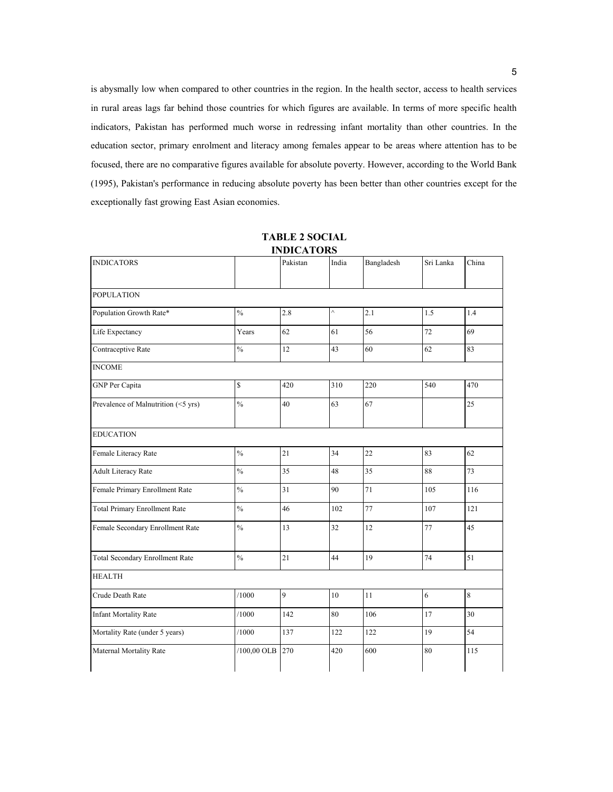is abysmally low when compared to other countries in the region. In the health sector, access to health services in rural areas lags far behind those countries for which figures are available. In terms of more specific health indicators, Pakistan has performed much worse in redressing infant mortality than other countries. In the education sector, primary enrolment and literacy among females appear to be areas where attention has to be focused, there are no comparative figures available for absolute poverty. However, according to the World Bank (1995), Pakistan's performance in reducing absolute poverty has been better than other countries except for the exceptionally fast growing East Asian economies.

| <b>INDICATORS</b>                    |               | Pakistan | India    | Bangladesh | Sri Lanka | China |
|--------------------------------------|---------------|----------|----------|------------|-----------|-------|
| <b>POPULATION</b>                    |               |          |          |            |           |       |
| Population Growth Rate*              | $\frac{0}{0}$ | 2.8      | $\wedge$ | 2.1        | 1.5       | 1.4   |
| Life Expectancy                      | Years         | 62       | 61       | 56         | 72        | 69    |
| Contraceptive Rate                   | $\frac{0}{0}$ | 12       | 43       | 60         | 62        | 83    |
| <b>INCOME</b>                        |               |          |          |            |           |       |
| GNP Per Capita                       | \$            | 420      | 310      | 220        | 540       | 470   |
| Prevalence of Malnutrition (<5 yrs)  | $\frac{0}{0}$ | 40       | 63       | 67         |           | 25    |
| <b>EDUCATION</b>                     |               |          |          |            |           |       |
| Female Literacy Rate                 | $\%$          | 21       | 34       | 22         | 83        | 62    |
| Adult Literacy Rate                  | $\frac{0}{0}$ | 35       | 48       | 35         | 88        | 73    |
| Female Primary Enrollment Rate       | $\frac{0}{0}$ | 31       | 90       | 71         | 105       | 116   |
| <b>Total Primary Enrollment Rate</b> | $\frac{0}{0}$ | 46       | 102      | 77         | 107       | 121   |
| Female Secondary Enrollment Rate     | $\frac{0}{0}$ | 13       | 32       | 12         | 77        | 45    |
| Total Secondary Enrollment Rate      | $\frac{0}{0}$ | 21       | 44       | 19         | 74        | 51    |
| <b>HEALTH</b>                        |               |          |          |            |           |       |
| Crude Death Rate                     | /1000         | 9        | 10       | 11         | 6         | 8     |
| <b>Infant Mortality Rate</b>         | /1000         | 142      | 80       | 106        | 17        | 30    |
| Mortality Rate (under 5 years)       | /1000         | 137      | 122      | 122        | 19        | 54    |
| Maternal Mortality Rate              | /100,00 OLB   | 270      | 420      | 600        | 80        | 115   |

**TABLE 2 SOCIAL INDICATORS**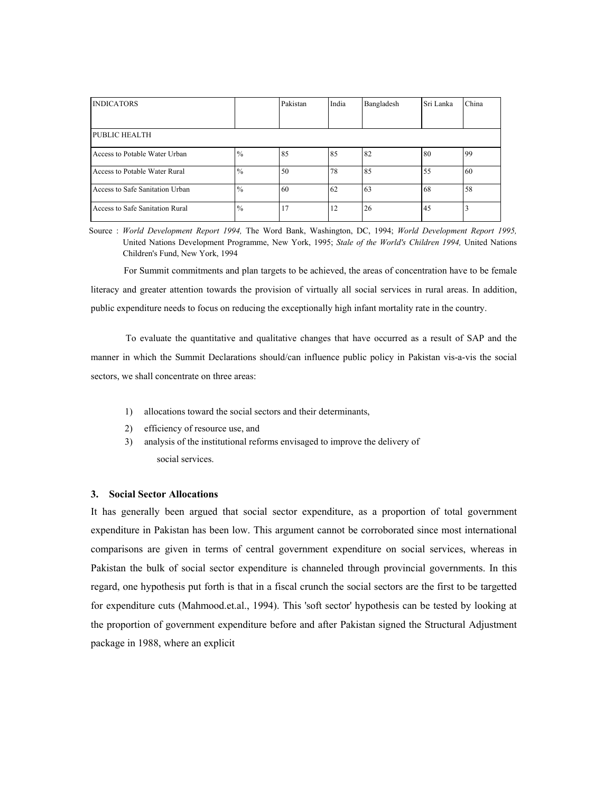| <b>INDICATORS</b>               |               | Pakistan | India | Bangladesh | Sri Lanka | China |
|---------------------------------|---------------|----------|-------|------------|-----------|-------|
|                                 |               |          |       |            |           |       |
| PUBLIC HEALTH                   |               |          |       |            |           |       |
| Access to Potable Water Urban   | $^{10}/_0$    | 85       | 85    | 82         | 80        | 99    |
| Access to Potable Water Rural   | $\frac{0}{0}$ | 50       | 78    | 85         | 55        | 60    |
| Access to Safe Sanitation Urban | $^{0}/_{0}$   | 60       | 62    | 63         | 68        | 58    |
| Access to Safe Sanitation Rural | $\frac{0}{0}$ | 17       | 12    | 26         | 45        |       |

Source : *World Development Report 1994,* The Word Bank, Washington, DC, 1994; *World Development Report 1995,* United Nations Development Programme, New York, 1995; *Stale of the World's Children 1994,* United Nations Children's Fund, New York, 1994

For Summit commitments and plan targets to be achieved, the areas of concentration have to be female literacy and greater attention towards the provision of virtually all social services in rural areas. In addition, public expenditure needs to focus on reducing the exceptionally high infant mortality rate in the country.

To evaluate the quantitative and qualitative changes that have occurred as a result of SAP and the manner in which the Summit Declarations should/can influence public policy in Pakistan vis-a-vis the social sectors, we shall concentrate on three areas:

- 1) allocations toward the social sectors and their determinants,
- 2) efficiency of resource use, and
- 3) analysis of the institutional reforms envisaged to improve the delivery of social services.

#### **3. Social Sector Allocations**

It has generally been argued that social sector expenditure, as a proportion of total government expenditure in Pakistan has been low. This argument cannot be corroborated since most international comparisons are given in terms of central government expenditure on social services, whereas in Pakistan the bulk of social sector expenditure is channeled through provincial governments. In this regard, one hypothesis put forth is that in a fiscal crunch the social sectors are the first to be targetted for expenditure cuts (Mahmood.et.al., 1994). This 'soft sector' hypothesis can be tested by looking at the proportion of government expenditure before and after Pakistan signed the Structural Adjustment package in 1988, where an explicit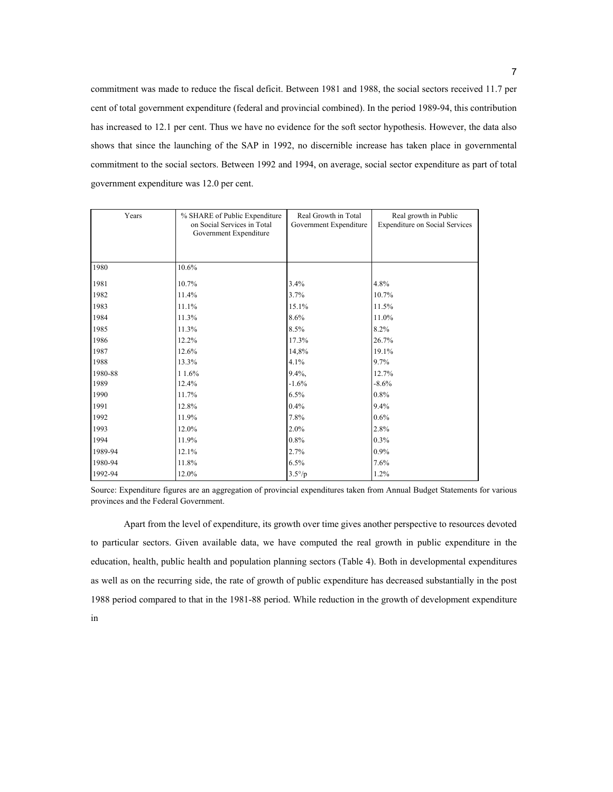commitment was made to reduce the fiscal deficit. Between 1981 and 1988, the social sectors received 11.7 per cent of total government expenditure (federal and provincial combined). In the period 1989-94, this contribution has increased to 12.1 per cent. Thus we have no evidence for the soft sector hypothesis. However, the data also shows that since the launching of the SAP in 1992, no discernible increase has taken place in governmental commitment to the social sectors. Between 1992 and 1994, on average, social sector expenditure as part of total government expenditure was 12.0 per cent.

| Years   | % SHARE of Public Expenditure<br>on Social Services in Total<br>Government Expenditure | Real Growth in Total<br>Government Expenditure | Real growth in Public<br><b>Expenditure on Social Services</b> |  |
|---------|----------------------------------------------------------------------------------------|------------------------------------------------|----------------------------------------------------------------|--|
| 1980    | 10.6%                                                                                  |                                                |                                                                |  |
|         |                                                                                        |                                                |                                                                |  |
| 1981    | 10.7%                                                                                  | 3.4%                                           | 4.8%                                                           |  |
| 1982    | 11.4%                                                                                  | 3.7%                                           | 10.7%                                                          |  |
| 1983    | 11.1%                                                                                  | 15.1%                                          | 11.5%                                                          |  |
| 1984    | 11.3%                                                                                  | 8.6%                                           | 11.0%                                                          |  |
| 1985    | 11.3%                                                                                  | 8.5%                                           | 8.2%                                                           |  |
| 1986    | 12.2%                                                                                  | 17.3%                                          | 26.7%                                                          |  |
| 1987    | 12.6%                                                                                  | 14,8%                                          | 19.1%                                                          |  |
| 1988    | 13.3%                                                                                  | 4.1%                                           | 9.7%                                                           |  |
| 1980-88 | 11.6%                                                                                  | $9.4\%$ ,                                      | 12.7%                                                          |  |
| 1989    | 12.4%                                                                                  | $-1.6%$                                        | $-8.6%$                                                        |  |
| 1990    | 11.7%                                                                                  | 6.5%                                           | 0.8%                                                           |  |
| 1991    | 12.8%                                                                                  | 0.4%                                           | 9.4%                                                           |  |
| 1992    | 11.9%                                                                                  | 7.8%                                           | 0.6%                                                           |  |
| 1993    | 12.0%                                                                                  | 2.0%                                           | 2.8%                                                           |  |
| 1994    | 11.9%                                                                                  | 0.8%                                           | 0.3%                                                           |  |
| 1989-94 | 12.1%                                                                                  | 2.7%                                           | 0.9%                                                           |  |
| 1980-94 | 11.8%                                                                                  | 6.5%                                           | 7.6%                                                           |  |
| 1992-94 | 12.0%                                                                                  | $3.5^{\circ}/p$                                | 1.2%                                                           |  |

Source: Expenditure figures are an aggregation of provincial expenditures taken from Annual Budget Statements for various provinces and the Federal Government.

Apart from the level of expenditure, its growth over time gives another perspective to resources devoted to particular sectors. Given available data, we have computed the real growth in public expenditure in the education, health, public health and population planning sectors (Table 4). Both in developmental expenditures as well as on the recurring side, the rate of growth of public expenditure has decreased substantially in the post 1988 period compared to that in the 1981-88 period. While reduction in the growth of development expenditure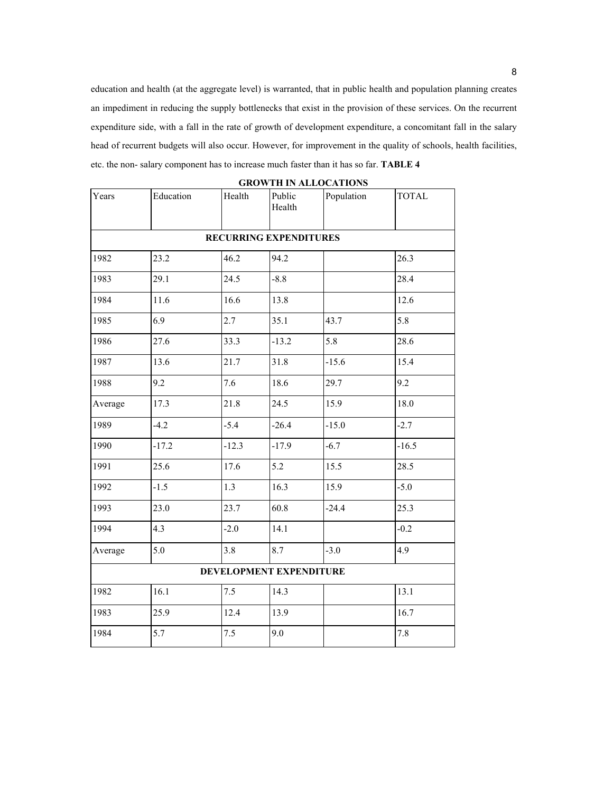education and health (at the aggregate level) is warranted, that in public health and population planning creates an impediment in reducing the supply bottlenecks that exist in the provision of these services. On the recurrent expenditure side, with a fall in the rate of growth of development expenditure, a concomitant fall in the salary head of recurrent budgets will also occur. However, for improvement in the quality of schools, health facilities, etc. the non- salary component has to increase much faster than it has so far. **TABLE 4** 

| Years                   | Education | Health                        | Public<br>Health | Population | <b>TOTAL</b> |
|-------------------------|-----------|-------------------------------|------------------|------------|--------------|
|                         |           | <b>RECURRING EXPENDITURES</b> |                  |            |              |
| 1982                    | 23.2      | 46.2                          | 94.2             |            | 26.3         |
| 1983                    | 29.1      | 24.5                          | $-8.8$           |            | 28.4         |
| 1984                    | 11.6      | 16.6                          | 13.8             |            | 12.6         |
| 1985                    | 6.9       | 2.7                           | 35.1             | 43.7       | 5.8          |
| 1986                    | 27.6      | 33.3                          | $-13.2$          | 5.8        | 28.6         |
| 1987                    | 13.6      | 21.7                          | 31.8             | $-15.6$    | 15.4         |
| 1988                    | 9.2       | 7.6                           | 18.6             | 29.7       | 9.2          |
| Average                 | 17.3      | 21.8                          | 24.5             | 15.9       | 18.0         |
| 1989                    | $-4.2$    | $-5.4$                        | $-26.4$          | $-15.0$    | $-2.7$       |
| 1990                    | $-17.2$   | $-12.3$                       | $-17.9$          | $-6.7$     | $-16.5$      |
| 1991                    | 25.6      | 17.6                          | 5.2              | 15.5       | 28.5         |
| 1992                    | $-1.5$    | 1.3                           | 16.3             | 15.9       | $-5.0$       |
| 1993                    | 23.0      | 23.7                          | 60.8             | $-24.4$    | 25.3         |
| 1994                    | 4.3       | $-2.0$                        | 14.1             |            | $-0.2$       |
| Average                 | 5.0       | 3.8                           | 8.7              | $-3.0$     | 4.9          |
| DEVELOPMENT EXPENDITURE |           |                               |                  |            |              |
| 1982                    | 16.1      | 7.5                           | 14.3             |            | 13.1         |
| 1983                    | 25.9      | 12.4                          | 13.9             |            | 16.7         |
| 1984                    | 5.7       | 7.5                           | 9.0              |            | 7.8          |

**GROWTH IN ALLOCATIONS**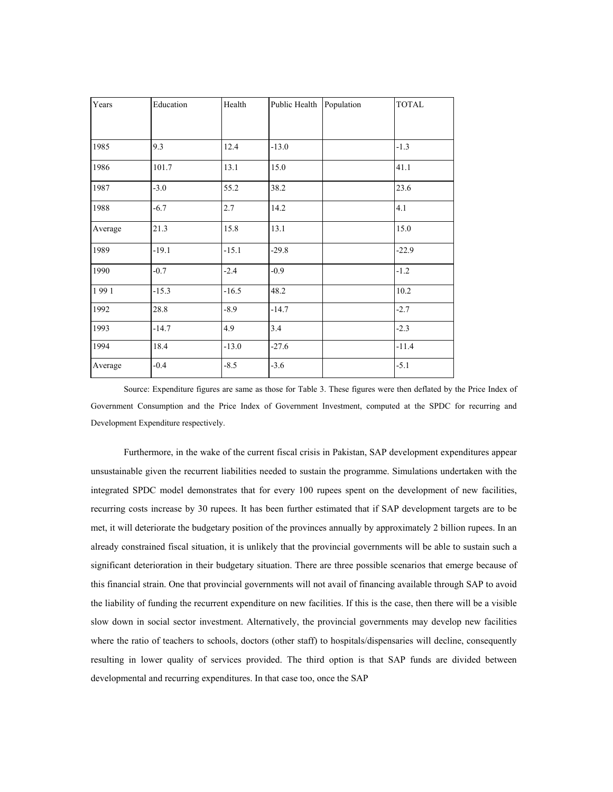| Years   | Education | Health  | Public Health | Population | <b>TOTAL</b> |
|---------|-----------|---------|---------------|------------|--------------|
|         |           |         |               |            |              |
| 1985    | 9.3       | 12.4    | $-13.0$       |            | $-1.3$       |
| 1986    | 101.7     | 13.1    | 15.0          |            | 41.1         |
| 1987    | $-3.0$    | 55.2    | 38.2          |            | 23.6         |
| 1988    | $-6.7$    | 2.7     | 14.2          |            | 4.1          |
| Average | 21.3      | 15.8    | 13.1          |            | 15.0         |
| 1989    | $-19.1$   | $-15.1$ | $-29.8$       |            | $-22.9$      |
| 1990    | $-0.7$    | $-2.4$  | $-0.9$        |            | $-1.2$       |
| 1991    | $-15.3$   | $-16.5$ | 48.2          |            | 10.2         |
| 1992    | 28.8      | $-8.9$  | $-14.7$       |            | $-2.7$       |
| 1993    | $-14.7$   | 4.9     | 3.4           |            | $-2.3$       |
| 1994    | 18.4      | $-13.0$ | $-27.6$       |            | $-11.4$      |
| Average | $-0.4$    | $-8.5$  | $-3.6$        |            | $-5.1$       |

Source: Expenditure figures are same as those for Table 3. These figures were then deflated by the Price Index of Government Consumption and the Price Index of Government Investment, computed at the SPDC for recurring and Development Expenditure respectively.

Furthermore, in the wake of the current fiscal crisis in Pakistan, SAP development expenditures appear unsustainable given the recurrent liabilities needed to sustain the programme. Simulations undertaken with the integrated SPDC model demonstrates that for every 100 rupees spent on the development of new facilities, recurring costs increase by 30 rupees. It has been further estimated that if SAP development targets are to be met, it will deteriorate the budgetary position of the provinces annually by approximately 2 billion rupees. In an already constrained fiscal situation, it is unlikely that the provincial governments will be able to sustain such a significant deterioration in their budgetary situation. There are three possible scenarios that emerge because of this financial strain. One that provincial governments will not avail of financing available through SAP to avoid the liability of funding the recurrent expenditure on new facilities. If this is the case, then there will be a visible slow down in social sector investment. Alternatively, the provincial governments may develop new facilities where the ratio of teachers to schools, doctors (other staff) to hospitals/dispensaries will decline, consequently resulting in lower quality of services provided. The third option is that SAP funds are divided between developmental and recurring expenditures. In that case too, once the SAP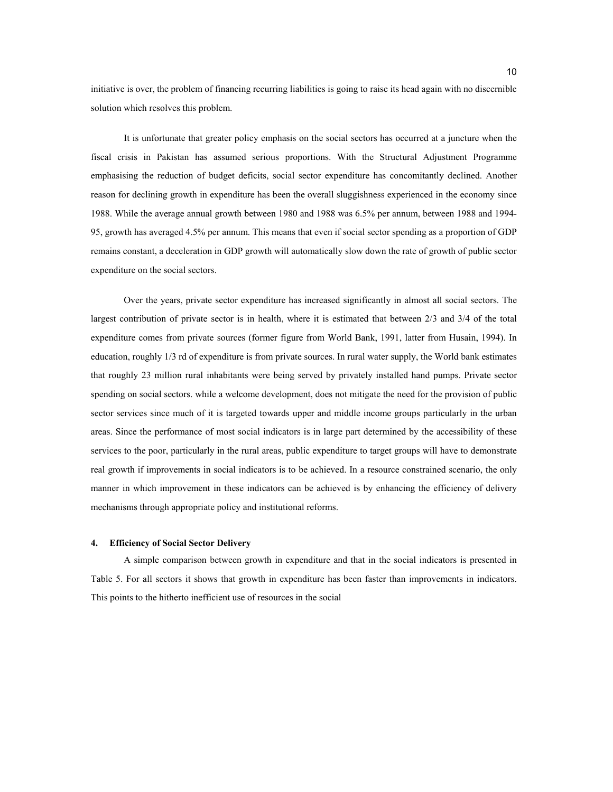initiative is over, the problem of financing recurring liabilities is going to raise its head again with no discernible solution which resolves this problem.

It is unfortunate that greater policy emphasis on the social sectors has occurred at a juncture when the fiscal crisis in Pakistan has assumed serious proportions. With the Structural Adjustment Programme emphasising the reduction of budget deficits, social sector expenditure has concomitantly declined. Another reason for declining growth in expenditure has been the overall sluggishness experienced in the economy since 1988. While the average annual growth between 1980 and 1988 was 6.5% per annum, between 1988 and 1994- 95, growth has averaged 4.5% per annum. This means that even if social sector spending as a proportion of GDP remains constant, a deceleration in GDP growth will automatically slow down the rate of growth of public sector expenditure on the social sectors.

Over the years, private sector expenditure has increased significantly in almost all social sectors. The largest contribution of private sector is in health, where it is estimated that between 2/3 and 3/4 of the total expenditure comes from private sources (former figure from World Bank, 1991, latter from Husain, 1994). In education, roughly 1/3 rd of expenditure is from private sources. In rural water supply, the World bank estimates that roughly 23 million rural inhabitants were being served by privately installed hand pumps. Private sector spending on social sectors. while a welcome development, does not mitigate the need for the provision of public sector services since much of it is targeted towards upper and middle income groups particularly in the urban areas. Since the performance of most social indicators is in large part determined by the accessibility of these services to the poor, particularly in the rural areas, public expenditure to target groups will have to demonstrate real growth if improvements in social indicators is to be achieved. In a resource constrained scenario, the only manner in which improvement in these indicators can be achieved is by enhancing the efficiency of delivery mechanisms through appropriate policy and institutional reforms.

#### **4. Efficiency of Social Sector Delivery**

A simple comparison between growth in expenditure and that in the social indicators is presented in Table 5. For all sectors it shows that growth in expenditure has been faster than improvements in indicators. This points to the hitherto inefficient use of resources in the social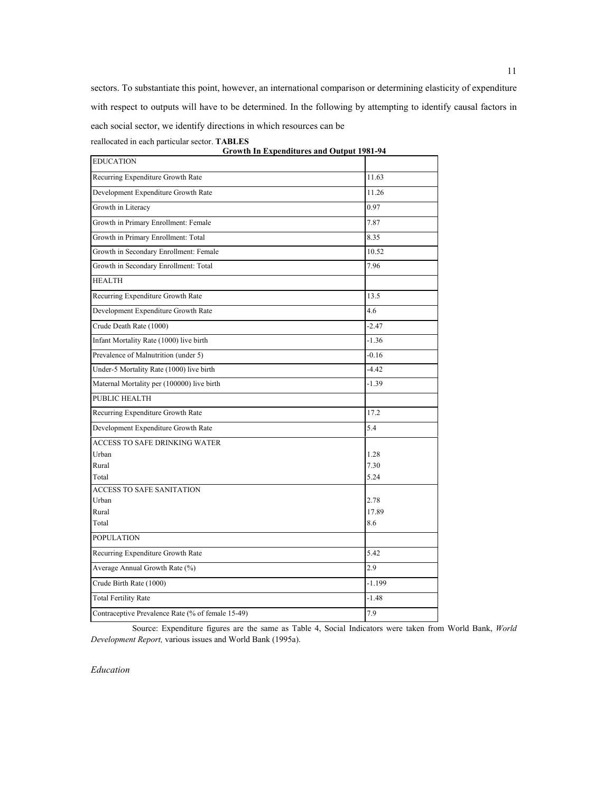sectors. To substantiate this point, however, an international comparison or determining elasticity of expenditure with respect to outputs will have to be determined. In the following by attempting to identify causal factors in each social sector, we identify directions in which resources can be

reallocated in each particular sector. **TABLES** 

| <b>Growth In Expenditures and Output 1981-94</b>  |          |
|---------------------------------------------------|----------|
| <b>EDUCATION</b>                                  |          |
| Recurring Expenditure Growth Rate                 | 11.63    |
| Development Expenditure Growth Rate               | 11.26    |
| Growth in Literacy                                | 0.97     |
| Growth in Primary Enrollment: Female              | 7.87     |
| Growth in Primary Enrollment: Total               | 8.35     |
| Growth in Secondary Enrollment: Female            | 10.52    |
| Growth in Secondary Enrollment: Total             | 7.96     |
| <b>HEALTH</b>                                     |          |
| Recurring Expenditure Growth Rate                 | 13.5     |
| Development Expenditure Growth Rate               | 4.6      |
| Crude Death Rate (1000)                           | $-2.47$  |
| Infant Mortality Rate (1000) live birth           | $-1.36$  |
| Prevalence of Malnutrition (under 5)              | $-0.16$  |
| Under-5 Mortality Rate (1000) live birth          | $-4.42$  |
| Maternal Mortality per (100000) live birth        | $-1.39$  |
| PUBLIC HEALTH                                     |          |
| Recurring Expenditure Growth Rate                 | 17.2     |
| Development Expenditure Growth Rate               | 5.4      |
| <b>ACCESS TO SAFE DRINKING WATER</b>              |          |
| Urban                                             | 1.28     |
| Rural                                             | 7.30     |
| Total                                             | 5.24     |
| <b>ACCESS TO SAFE SANITATION</b>                  |          |
| Urban                                             | 2.78     |
| Rural                                             | 17.89    |
| Total                                             | 8.6      |
| <b>POPULATION</b>                                 |          |
| Recurring Expenditure Growth Rate                 | 5.42     |
| Average Annual Growth Rate (%)                    | 2.9      |
| Crude Birth Rate (1000)                           | $-1.199$ |
| <b>Total Fertility Rate</b>                       | $-1.48$  |
| Contraceptive Prevalence Rate (% of female 15-49) | 7.9      |

Source: Expenditure figures are the same as Table 4, Social Indicators were taken from World Bank, *World Development Report,* various issues and World Bank (1995a).

*Education*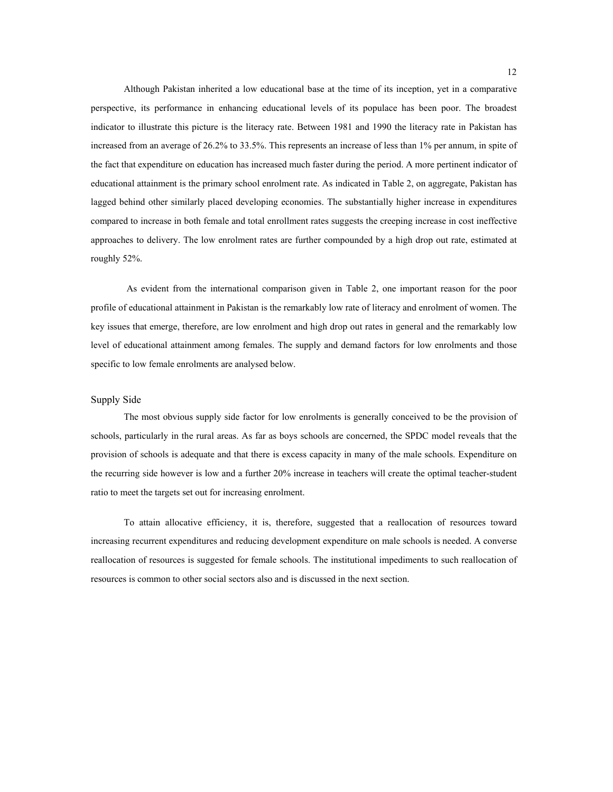Although Pakistan inherited a low educational base at the time of its inception, yet in a comparative perspective, its performance in enhancing educational levels of its populace has been poor. The broadest indicator to illustrate this picture is the literacy rate. Between 1981 and 1990 the literacy rate in Pakistan has increased from an average of 26.2% to 33.5%. This represents an increase of less than 1% per annum, in spite of the fact that expenditure on education has increased much faster during the period. A more pertinent indicator of educational attainment is the primary school enrolment rate. As indicated in Table 2, on aggregate, Pakistan has lagged behind other similarly placed developing economies. The substantially higher increase in expenditures compared to increase in both female and total enrollment rates suggests the creeping increase in cost ineffective approaches to delivery. The low enrolment rates are further compounded by a high drop out rate, estimated at roughly 52%.

As evident from the international comparison given in Table 2, one important reason for the poor profile of educational attainment in Pakistan is the remarkably low rate of literacy and enrolment of women. The key issues that emerge, therefore, are low enrolment and high drop out rates in general and the remarkably low level of educational attainment among females. The supply and demand factors for low enrolments and those specific to low female enrolments are analysed below.

#### Supply Side

The most obvious supply side factor for low enrolments is generally conceived to be the provision of schools, particularly in the rural areas. As far as boys schools are concerned, the SPDC model reveals that the provision of schools is adequate and that there is excess capacity in many of the male schools. Expenditure on the recurring side however is low and a further 20% increase in teachers will create the optimal teacher-student ratio to meet the targets set out for increasing enrolment.

To attain allocative efficiency, it is, therefore, suggested that a reallocation of resources toward increasing recurrent expenditures and reducing development expenditure on male schools is needed. A converse reallocation of resources is suggested for female schools. The institutional impediments to such reallocation of resources is common to other social sectors also and is discussed in the next section.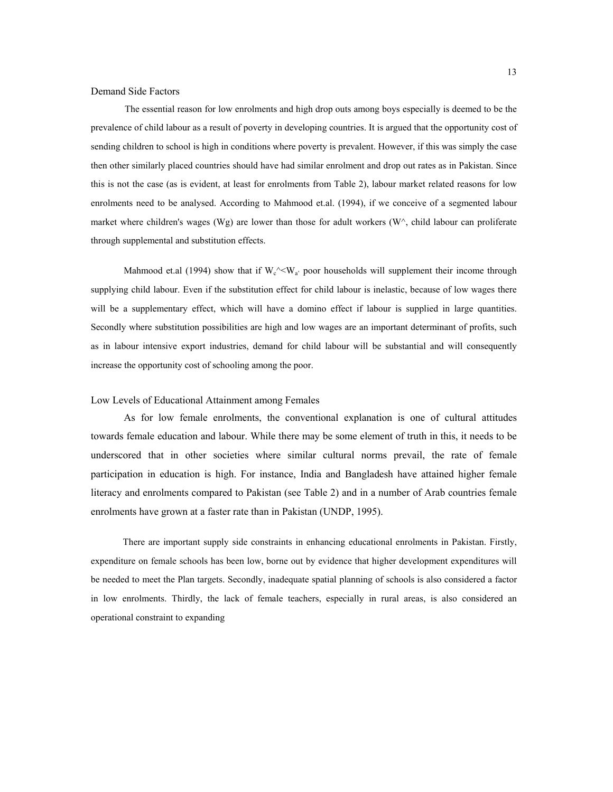#### Demand Side Factors

The essential reason for low enrolments and high drop outs among boys especially is deemed to be the prevalence of child labour as a result of poverty in developing countries. It is argued that the opportunity cost of sending children to school is high in conditions where poverty is prevalent. However, if this was simply the case then other similarly placed countries should have had similar enrolment and drop out rates as in Pakistan. Since this is not the case (as is evident, at least for enrolments from Table 2), labour market related reasons for low enrolments need to be analysed. According to Mahmood et.al. (1994), if we conceive of a segmented labour market where children's wages (Wg) are lower than those for adult workers (W $\land$ , child labour can proliferate through supplemental and substitution effects.

Mahmood et.al (1994) show that if  $W_c^{\wedge} \leq W_a$  poor households will supplement their income through supplying child labour. Even if the substitution effect for child labour is inelastic, because of low wages there will be a supplementary effect, which will have a domino effect if labour is supplied in large quantities. Secondly where substitution possibilities are high and low wages are an important determinant of profits, such as in labour intensive export industries, demand for child labour will be substantial and will consequently increase the opportunity cost of schooling among the poor.

#### Low Levels of Educational Attainment among Females

As for low female enrolments, the conventional explanation is one of cultural attitudes towards female education and labour. While there may be some element of truth in this, it needs to be underscored that in other societies where similar cultural norms prevail, the rate of female participation in education is high. For instance, India and Bangladesh have attained higher female literacy and enrolments compared to Pakistan (see Table 2) and in a number of Arab countries female enrolments have grown at a faster rate than in Pakistan (UNDP, 1995).

There are important supply side constraints in enhancing educational enrolments in Pakistan. Firstly, expenditure on female schools has been low, borne out by evidence that higher development expenditures will be needed to meet the Plan targets. Secondly, inadequate spatial planning of schools is also considered a factor in low enrolments. Thirdly, the lack of female teachers, especially in rural areas, is also considered an operational constraint to expanding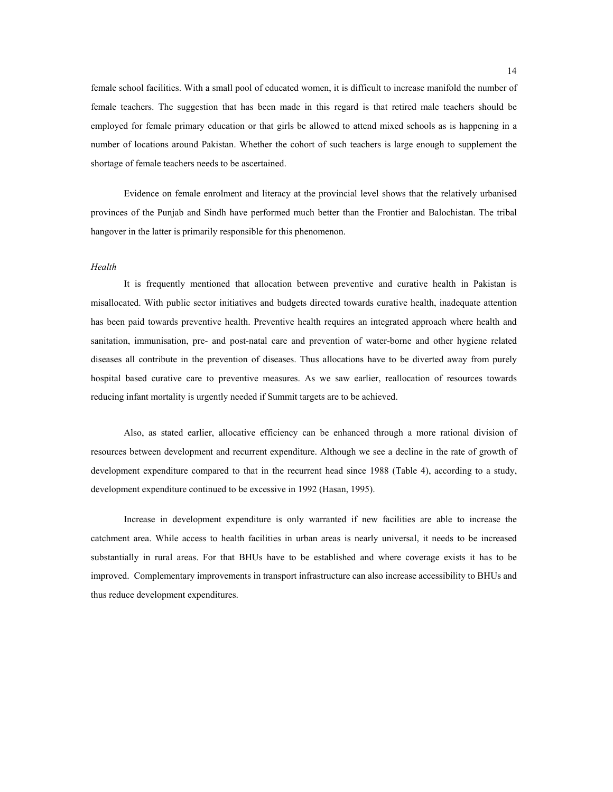female school facilities. With a small pool of educated women, it is difficult to increase manifold the number of female teachers. The suggestion that has been made in this regard is that retired male teachers should be employed for female primary education or that girls be allowed to attend mixed schools as is happening in a number of locations around Pakistan. Whether the cohort of such teachers is large enough to supplement the shortage of female teachers needs to be ascertained.

Evidence on female enrolment and literacy at the provincial level shows that the relatively urbanised provinces of the Punjab and Sindh have performed much better than the Frontier and Balochistan. The tribal hangover in the latter is primarily responsible for this phenomenon.

#### *Health*

It is frequently mentioned that allocation between preventive and curative health in Pakistan is misallocated. With public sector initiatives and budgets directed towards curative health, inadequate attention has been paid towards preventive health. Preventive health requires an integrated approach where health and sanitation, immunisation, pre- and post-natal care and prevention of water-borne and other hygiene related diseases all contribute in the prevention of diseases. Thus allocations have to be diverted away from purely hospital based curative care to preventive measures. As we saw earlier, reallocation of resources towards reducing infant mortality is urgently needed if Summit targets are to be achieved.

Also, as stated earlier, allocative efficiency can be enhanced through a more rational division of resources between development and recurrent expenditure. Although we see a decline in the rate of growth of development expenditure compared to that in the recurrent head since 1988 (Table 4), according to a study, development expenditure continued to be excessive in 1992 (Hasan, 1995).

Increase in development expenditure is only warranted if new facilities are able to increase the catchment area. While access to health facilities in urban areas is nearly universal, it needs to be increased substantially in rural areas. For that BHUs have to be established and where coverage exists it has to be improved. Complementary improvements in transport infrastructure can also increase accessibility to BHUs and thus reduce development expenditures.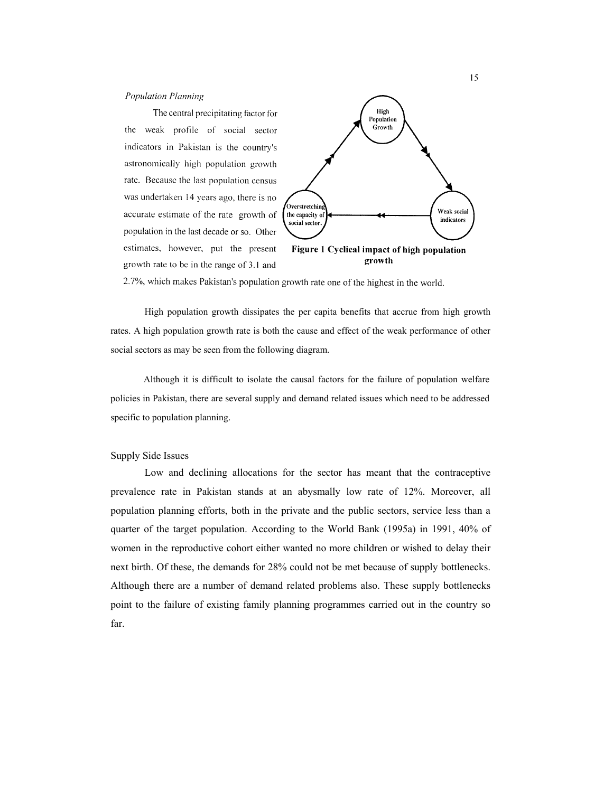#### **Population Planning**

The central precipitating factor for the weak profile of social sector indicators in Pakistan is the country's astronomically high population growth rate. Because the last population census was undertaken 14 years ago, there is no accurate estimate of the rate growth of population in the last decade or so. Other estimates, however, put the present growth rate to be in the range of 3.1 and



2.7%, which makes Pakistan's population growth rate one of the highest in the world.

High population growth dissipates the per capita benefits that accrue from high growth rates. A high population growth rate is both the cause and effect of the weak performance of other social sectors as may be seen from the following diagram.

Although it is difficult to isolate the causal factors for the failure of population welfare policies in Pakistan, there are several supply and demand related issues which need to be addressed specific to population planning.

#### Supply Side Issues

Low and declining allocations for the sector has meant that the contraceptive prevalence rate in Pakistan stands at an abysmally low rate of 12%. Moreover, all population planning efforts, both in the private and the public sectors, service less than a quarter of the target population. According to the World Bank (1995a) in 1991, 40% of women in the reproductive cohort either wanted no more children or wished to delay their next birth. Of these, the demands for 28% could not be met because of supply bottlenecks. Although there are a number of demand related problems also. These supply bottlenecks point to the failure of existing family planning programmes carried out in the country so far.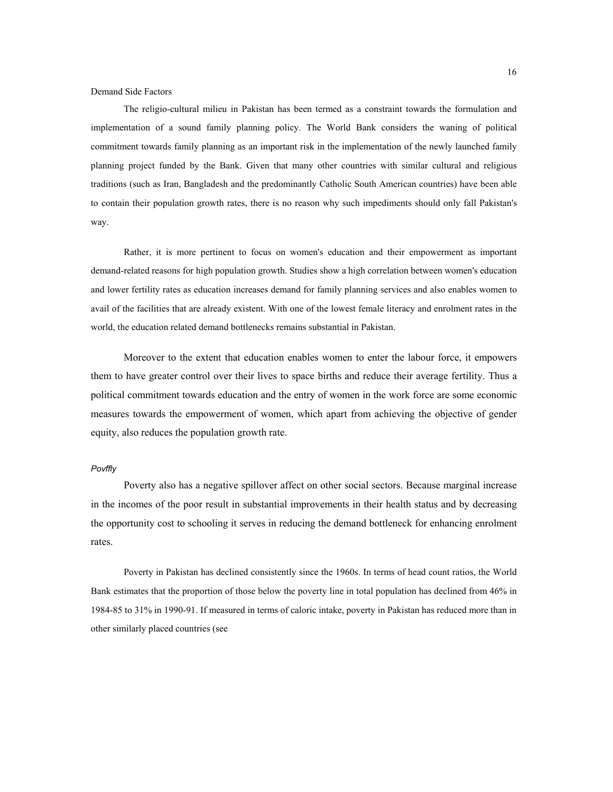#### Demand Side Factors

The religio-cultural milieu in Pakistan has been termed as a constraint towards the formulation and implementation of a sound family planning policy. The World Bank considers the waning of political commitment towards family planning as an important risk in the implementation of the newly launched family planning project funded by the Bank. Given that many other countries with similar cultural and religious traditions (such as Iran, Bangladesh and the predominantly Catholic South American countries) have been able to contain their population growth rates, there is no reason why such impediments should only fall Pakistan's way.

Rather, it is more pertinent to focus on women's education and their empowerment as important demand-related reasons for high population growth. Studies show a high correlation between women's education and lower fertility rates as education increases demand for family planning services and also enables women to avail of the facilities that are already existent. With one of the lowest female literacy and enrolment rates in the world, the education related demand bottlenecks remains substantial in Pakistan.

Moreover to the extent that education enables women to enter the labour force, it empowers them to have greater control over their lives to space births and reduce their average fertility. Thus a political commitment towards education and the entry of women in the work force are some economic measures towards the empowerment of women, which apart from achieving the objective of gender equity, also reduces the population growth rate.

#### *Povffly*

Poverty also has a negative spillover affect on other social sectors. Because marginal increase in the incomes of the poor result in substantial improvements in their health status and by decreasing the opportunity cost to schooling it serves in reducing the demand bottleneck for enhancing enrolment rates.

Poverty in Pakistan has declined consistently since the 1960s. In terms of head count ratios, the World Bank estimates that the proportion of those below the poverty line in total population has declined from 46% in 1984-85 to 31% in 1990-91. If measured in terms of caloric intake, poverty in Pakistan has reduced more than in other similarly placed countries (see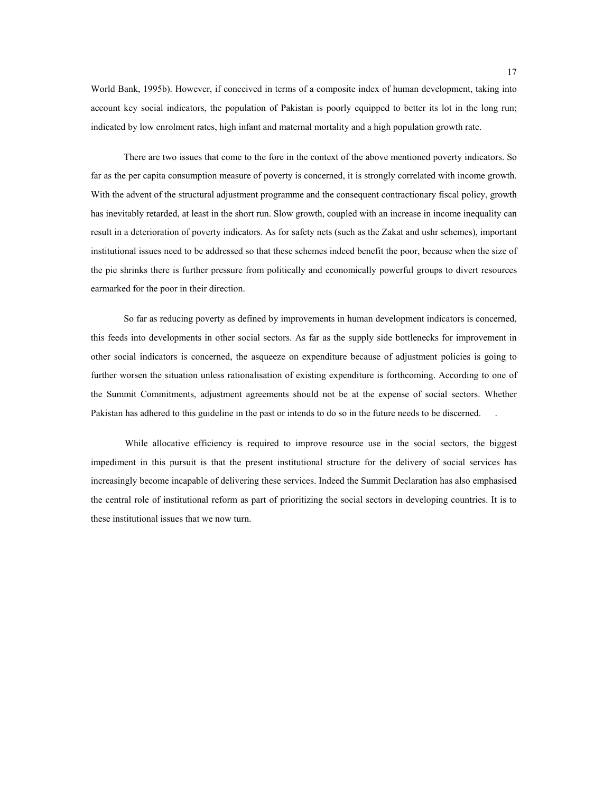World Bank, 1995b). However, if conceived in terms of a composite index of human development, taking into account key social indicators, the population of Pakistan is poorly equipped to better its lot in the long run; indicated by low enrolment rates, high infant and maternal mortality and a high population growth rate.

There are two issues that come to the fore in the context of the above mentioned poverty indicators. So far as the per capita consumption measure of poverty is concerned, it is strongly correlated with income growth. With the advent of the structural adjustment programme and the consequent contractionary fiscal policy, growth has inevitably retarded, at least in the short run. Slow growth, coupled with an increase in income inequality can result in a deterioration of poverty indicators. As for safety nets (such as the Zakat and ushr schemes), important institutional issues need to be addressed so that these schemes indeed benefit the poor, because when the size of the pie shrinks there is further pressure from politically and economically powerful groups to divert resources earmarked for the poor in their direction.

So far as reducing poverty as defined by improvements in human development indicators is concerned, this feeds into developments in other social sectors. As far as the supply side bottlenecks for improvement in other social indicators is concerned, the asqueeze on expenditure because of adjustment policies is going to further worsen the situation unless rationalisation of existing expenditure is forthcoming. According to one of the Summit Commitments, adjustment agreements should not be at the expense of social sectors. Whether Pakistan has adhered to this guideline in the past or intends to do so in the future needs to be discerned.

While allocative efficiency is required to improve resource use in the social sectors, the biggest impediment in this pursuit is that the present institutional structure for the delivery of social services has increasingly become incapable of delivering these services. Indeed the Summit Declaration has also emphasised the central role of institutional reform as part of prioritizing the social sectors in developing countries. It is to these institutional issues that we now turn.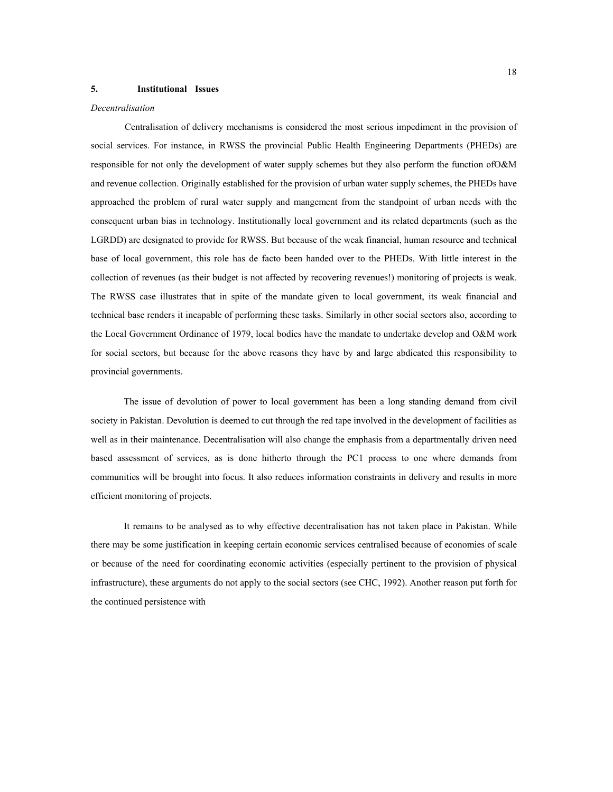#### **5. Institutional Issues**

#### *Decentralisation*

Centralisation of delivery mechanisms is considered the most serious impediment in the provision of social services. For instance, in RWSS the provincial Public Health Engineering Departments (PHEDs) are responsible for not only the development of water supply schemes but they also perform the function ofO&M and revenue collection. Originally established for the provision of urban water supply schemes, the PHEDs have approached the problem of rural water supply and mangement from the standpoint of urban needs with the consequent urban bias in technology. Institutionally local government and its related departments (such as the LGRDD) are designated to provide for RWSS. But because of the weak financial, human resource and technical base of local government, this role has de facto been handed over to the PHEDs. With little interest in the collection of revenues (as their budget is not affected by recovering revenues!) monitoring of projects is weak. The RWSS case illustrates that in spite of the mandate given to local government, its weak financial and technical base renders it incapable of performing these tasks. Similarly in other social sectors also, according to the Local Government Ordinance of 1979, local bodies have the mandate to undertake develop and O&M work for social sectors, but because for the above reasons they have by and large abdicated this responsibility to provincial governments.

The issue of devolution of power to local government has been a long standing demand from civil society in Pakistan. Devolution is deemed to cut through the red tape involved in the development of facilities as well as in their maintenance. Decentralisation will also change the emphasis from a departmentally driven need based assessment of services, as is done hitherto through the PC1 process to one where demands from communities will be brought into focus. It also reduces information constraints in delivery and results in more efficient monitoring of projects.

It remains to be analysed as to why effective decentralisation has not taken place in Pakistan. While there may be some justification in keeping certain economic services centralised because of economies of scale or because of the need for coordinating economic activities (especially pertinent to the provision of physical infrastructure), these arguments do not apply to the social sectors (see CHC, 1992). Another reason put forth for the continued persistence with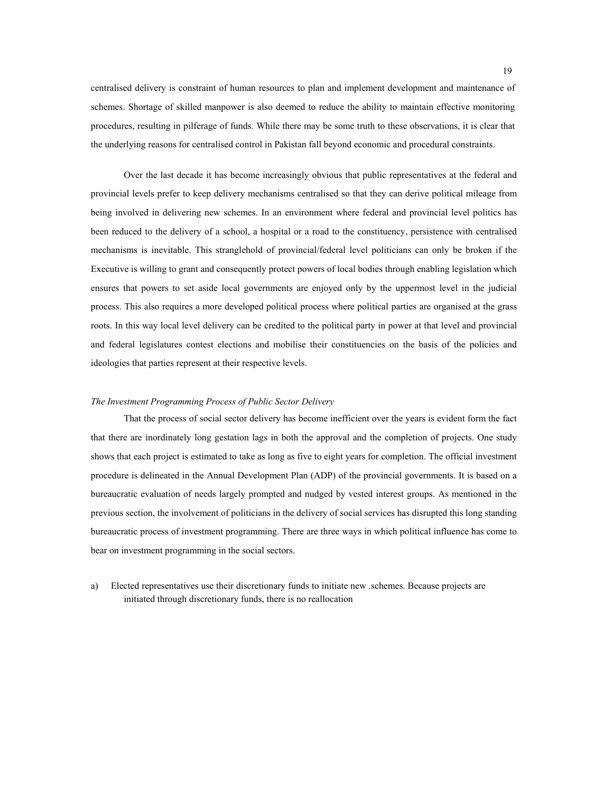centralised delivery is constraint of human resources to plan and implement development and maintenance of schemes. Shortage of skilled manpower is also deemed to reduce the ability to maintain effective monitoring procedures, resulting in pilferage of funds. While there may be some truth to these observations, it is clear that the underlying reasons for centralised control in Pakistan fall beyond economic and procedural constraints.

Over the last decade it has become increasingly obvious that public representatives at the federal and provincial levels prefer to keep delivery mechanisms centralised so that they can derive political mileage from being involved in delivering new schemes. In an environment where federal and provincial level politics has been reduced to the delivery of a school, a hospital or a road to the constituency, persistence with centralised mechanisms is inevitable. This stranglehold of provincial/federal level politicians can only be broken if the Executive is willing to grant and consequently protect powers of local bodies through enabling legislation which ensures that powers to set aside local governments are enjoyed only by the uppermost level in the judicial process. This also requires a more developed political process where political parties are organised at the grass roots. In this way local level delivery can be credited to the political party in power at that level and provincial and federal legislatures contest elections and mobilise their constituencies on the basis of the policies and ideologies that parties represent at their respective levels.

#### *The Investment Programming Process of Public Sector Delivery*

That the process of social sector delivery has become inefficient over the years is evident form the fact that there are inordinately long gestation lags in both the approval and the completion of projects. One study shows that each project is estimated to take as long as five to eight years for completion. The official investment procedure is delineated in the Annual Development Plan (ADP) of the provincial governments. It is based on a bureaucratic evaluation of needs largely prompted and nudged by vested interest groups. As mentioned in the previous section, the involvement of politicians in the delivery of social services has disrupted this long standing bureaucratic process of investment programming. There are three ways in which political influence has come to bear on investment programming in the social sectors.

a) Elected representatives use their discretionary funds to initiate new .schemes. Because projects are initiated through discretionary funds, there is no reallocation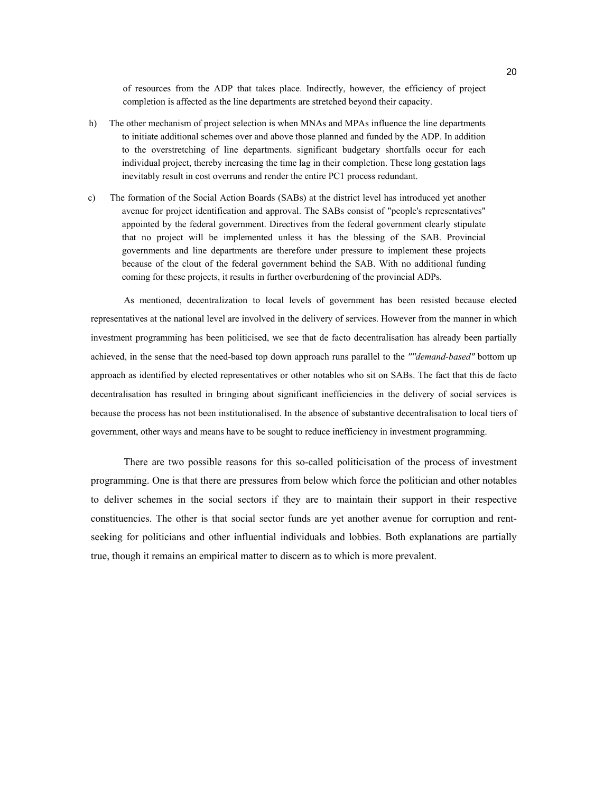of resources from the ADP that takes place. Indirectly, however, the efficiency of project completion is affected as the line departments are stretched beyond their capacity.

- h) The other mechanism of project selection is when MNAs and MPAs influence the line departments to initiate additional schemes over and above those planned and funded by the ADP. In addition to the overstretching of line departments. significant budgetary shortfalls occur for each individual project, thereby increasing the time lag in their completion. These long gestation lags inevitably result in cost overruns and render the entire PC1 process redundant.
- c) The formation of the Social Action Boards (SABs) at the district level has introduced yet another avenue for project identification and approval. The SABs consist of "people's representatives" appointed by the federal government. Directives from the federal government clearly stipulate that no project will be implemented unless it has the blessing of the SAB. Provincial governments and line departments are therefore under pressure to implement these projects because of the clout of the federal government behind the SAB. With no additional funding coming for these projects, it results in further overburdening of the provincial ADPs.

As mentioned, decentralization to local levels of government has been resisted because elected representatives at the national level are involved in the delivery of services. However from the manner in which investment programming has been politicised, we see that de facto decentralisation has already been partially achieved, in the sense that the need-based top down approach runs parallel to the *''''demand-based"* bottom up approach as identified by elected representatives or other notables who sit on SABs. The fact that this de facto decentralisation has resulted in bringing about significant inefficiencies in the delivery of social services is because the process has not been institutionalised. In the absence of substantive decentralisation to local tiers of government, other ways and means have to be sought to reduce inefficiency in investment programming.

There are two possible reasons for this so-called politicisation of the process of investment programming. One is that there are pressures from below which force the politician and other notables to deliver schemes in the social sectors if they are to maintain their support in their respective constituencies. The other is that social sector funds are yet another avenue for corruption and rentseeking for politicians and other influential individuals and lobbies. Both explanations are partially true, though it remains an empirical matter to discern as to which is more prevalent.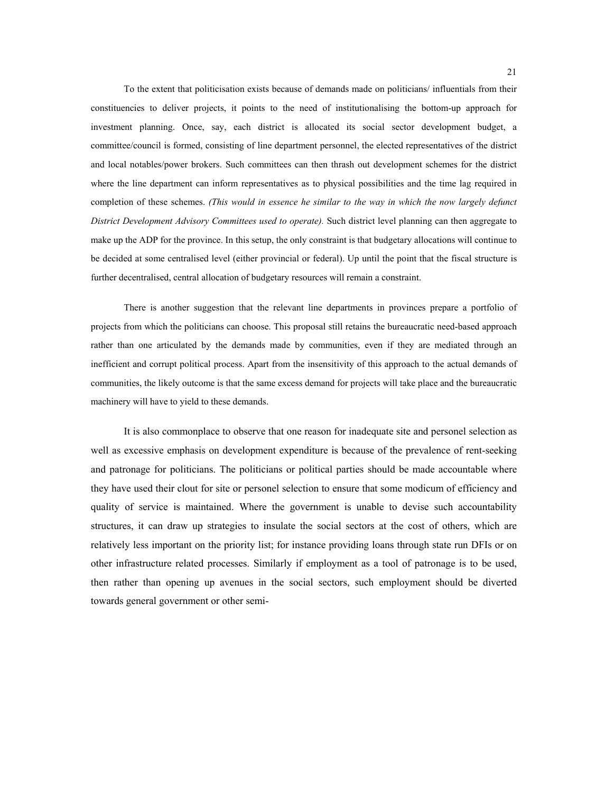To the extent that politicisation exists because of demands made on politicians/ influentials from their constituencies to deliver projects, it points to the need of institutionalising the bottom-up approach for investment planning. Once, say, each district is allocated its social sector development budget, a committee/council is formed, consisting of line department personnel, the elected representatives of the district and local notables/power brokers. Such committees can then thrash out development schemes for the district where the line department can inform representatives as to physical possibilities and the time lag required in completion of these schemes. *(This would in essence he similar to the way in which the now largely defunct District Development Advisory Committees used to operate).* Such district level planning can then aggregate to make up the ADP for the province. In this setup, the only constraint is that budgetary allocations will continue to be decided at some centralised level (either provincial or federal). Up until the point that the fiscal structure is further decentralised, central allocation of budgetary resources will remain a constraint.

There is another suggestion that the relevant line departments in provinces prepare a portfolio of projects from which the politicians can choose. This proposal still retains the bureaucratic need-based approach rather than one articulated by the demands made by communities, even if they are mediated through an inefficient and corrupt political process. Apart from the insensitivity of this approach to the actual demands of communities, the likely outcome is that the same excess demand for projects will take place and the bureaucratic machinery will have to yield to these demands.

It is also commonplace to observe that one reason for inadequate site and personel selection as well as excessive emphasis on development expenditure is because of the prevalence of rent-seeking and patronage for politicians. The politicians or political parties should be made accountable where they have used their clout for site or personel selection to ensure that some modicum of efficiency and quality of service is maintained. Where the government is unable to devise such accountability structures, it can draw up strategies to insulate the social sectors at the cost of others, which are relatively less important on the priority list; for instance providing loans through state run DFIs or on other infrastructure related processes. Similarly if employment as a tool of patronage is to be used, then rather than opening up avenues in the social sectors, such employment should be diverted towards general government or other semi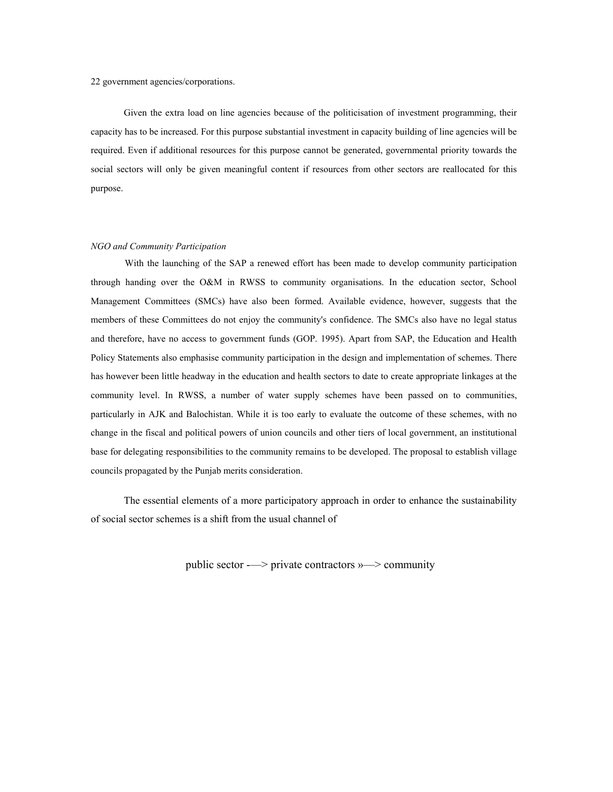22 government agencies/corporations.

Given the extra load on line agencies because of the politicisation of investment programming, their capacity has to be increased. For this purpose substantial investment in capacity building of line agencies will be required. Even if additional resources for this purpose cannot be generated, governmental priority towards the social sectors will only be given meaningful content if resources from other sectors are reallocated for this purpose.

#### *NGO and Community Participation*

With the launching of the SAP a renewed effort has been made to develop community participation through handing over the O&M in RWSS to community organisations. In the education sector, School Management Committees (SMCs) have also been formed. Available evidence, however, suggests that the members of these Committees do not enjoy the community's confidence. The SMCs also have no legal status and therefore, have no access to government funds (GOP. 1995). Apart from SAP, the Education and Health Policy Statements also emphasise community participation in the design and implementation of schemes. There has however been little headway in the education and health sectors to date to create appropriate linkages at the community level. In RWSS, a number of water supply schemes have been passed on to communities, particularly in AJK and Balochistan. While it is too early to evaluate the outcome of these schemes, with no change in the fiscal and political powers of union councils and other tiers of local government, an institutional base for delegating responsibilities to the community remains to be developed. The proposal to establish village councils propagated by the Punjab merits consideration.

The essential elements of a more participatory approach in order to enhance the sustainability of social sector schemes is a shift from the usual channel of

public sector -—> private contractors »—> community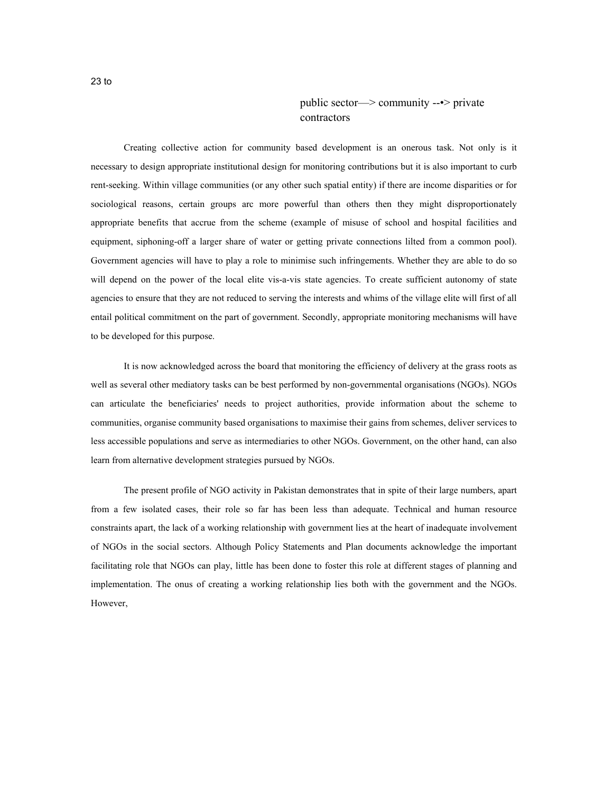## public sector—> community --•> private contractors

Creating collective action for community based development is an onerous task. Not only is it necessary to design appropriate institutional design for monitoring contributions but it is also important to curb rent-seeking. Within village communities (or any other such spatial entity) if there are income disparities or for sociological reasons, certain groups arc more powerful than others then they might disproportionately appropriate benefits that accrue from the scheme (example of misuse of school and hospital facilities and equipment, siphoning-off a larger share of water or getting private connections lilted from a common pool). Government agencies will have to play a role to minimise such infringements. Whether they are able to do so will depend on the power of the local elite vis-a-vis state agencies. To create sufficient autonomy of state agencies to ensure that they are not reduced to serving the interests and whims of the village elite will first of all entail political commitment on the part of government. Secondly, appropriate monitoring mechanisms will have to be developed for this purpose.

It is now acknowledged across the board that monitoring the efficiency of delivery at the grass roots as well as several other mediatory tasks can be best performed by non-governmental organisations (NGOs). NGOs can articulate the beneficiaries' needs to project authorities, provide information about the scheme to communities, organise community based organisations to maximise their gains from schemes, deliver services to less accessible populations and serve as intermediaries to other NGOs. Government, on the other hand, can also learn from alternative development strategies pursued by NGOs.

The present profile of NGO activity in Pakistan demonstrates that in spite of their large numbers, apart from a few isolated cases, their role so far has been less than adequate. Technical and human resource constraints apart, the lack of a working relationship with government lies at the heart of inadequate involvement of NGOs in the social sectors. Although Policy Statements and Plan documents acknowledge the important facilitating role that NGOs can play, little has been done to foster this role at different stages of planning and implementation. The onus of creating a working relationship lies both with the government and the NGOs. However,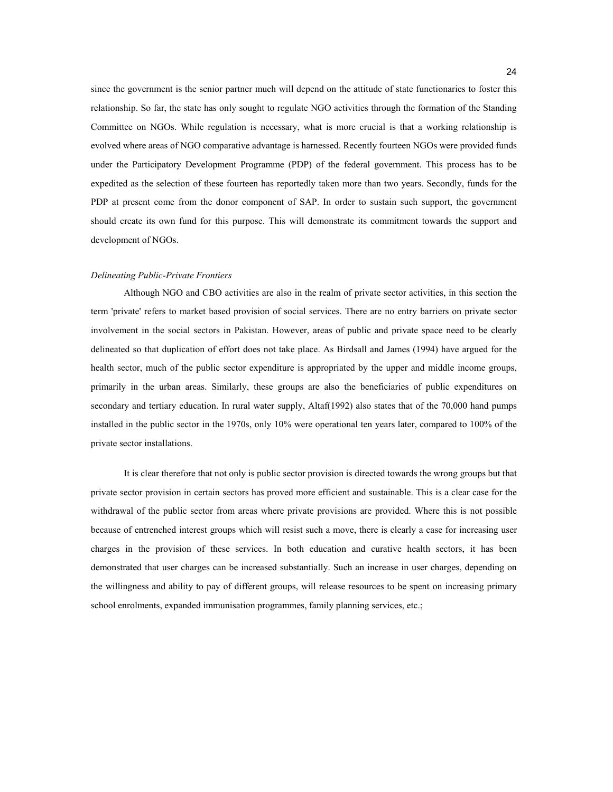since the government is the senior partner much will depend on the attitude of state functionaries to foster this relationship. So far, the state has only sought to regulate NGO activities through the formation of the Standing Committee on NGOs. While regulation is necessary, what is more crucial is that a working relationship is evolved where areas of NGO comparative advantage is harnessed. Recently fourteen NGOs were provided funds under the Participatory Development Programme (PDP) of the federal government. This process has to be expedited as the selection of these fourteen has reportedly taken more than two years. Secondly, funds for the PDP at present come from the donor component of SAP. In order to sustain such support, the government should create its own fund for this purpose. This will demonstrate its commitment towards the support and development of NGOs.

#### *Delineating Public-Private Frontiers*

Although NGO and CBO activities are also in the realm of private sector activities, in this section the term 'private' refers to market based provision of social services. There are no entry barriers on private sector involvement in the social sectors in Pakistan. However, areas of public and private space need to be clearly delineated so that duplication of effort does not take place. As Birdsall and James (1994) have argued for the health sector, much of the public sector expenditure is appropriated by the upper and middle income groups, primarily in the urban areas. Similarly, these groups are also the beneficiaries of public expenditures on secondary and tertiary education. In rural water supply, Altaf(1992) also states that of the 70,000 hand pumps installed in the public sector in the 1970s, only 10% were operational ten years later, compared to 100% of the private sector installations.

It is clear therefore that not only is public sector provision is directed towards the wrong groups but that private sector provision in certain sectors has proved more efficient and sustainable. This is a clear case for the withdrawal of the public sector from areas where private provisions are provided. Where this is not possible because of entrenched interest groups which will resist such a move, there is clearly a case for increasing user charges in the provision of these services. In both education and curative health sectors, it has been demonstrated that user charges can be increased substantially. Such an increase in user charges, depending on the willingness and ability to pay of different groups, will release resources to be spent on increasing primary school enrolments, expanded immunisation programmes, family planning services, etc.;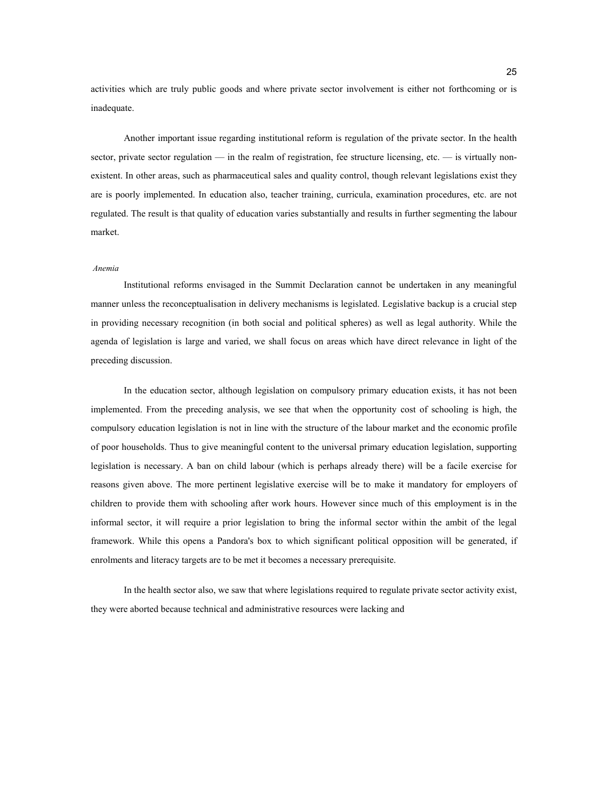activities which are truly public goods and where private sector involvement is either not forthcoming or is inadequate.

Another important issue regarding institutional reform is regulation of the private sector. In the health sector, private sector regulation — in the realm of registration, fee structure licensing, etc. — is virtually nonexistent. In other areas, such as pharmaceutical sales and quality control, though relevant legislations exist they are is poorly implemented. In education also, teacher training, curricula, examination procedures, etc. are not regulated. The result is that quality of education varies substantially and results in further segmenting the labour market.

#### *Anemia*

Institutional reforms envisaged in the Summit Declaration cannot be undertaken in any meaningful manner unless the reconceptualisation in delivery mechanisms is legislated. Legislative backup is a crucial step in providing necessary recognition (in both social and political spheres) as well as legal authority. While the agenda of legislation is large and varied, we shall focus on areas which have direct relevance in light of the preceding discussion.

In the education sector, although legislation on compulsory primary education exists, it has not been implemented. From the preceding analysis, we see that when the opportunity cost of schooling is high, the compulsory education legislation is not in line with the structure of the labour market and the economic profile of poor households. Thus to give meaningful content to the universal primary education legislation, supporting legislation is necessary. A ban on child labour (which is perhaps already there) will be a facile exercise for reasons given above. The more pertinent legislative exercise will be to make it mandatory for employers of children to provide them with schooling after work hours. However since much of this employment is in the informal sector, it will require a prior legislation to bring the informal sector within the ambit of the legal framework. While this opens a Pandora's box to which significant political opposition will be generated, if enrolments and literacy targets are to be met it becomes a necessary prerequisite.

In the health sector also, we saw that where legislations required to regulate private sector activity exist, they were aborted because technical and administrative resources were lacking and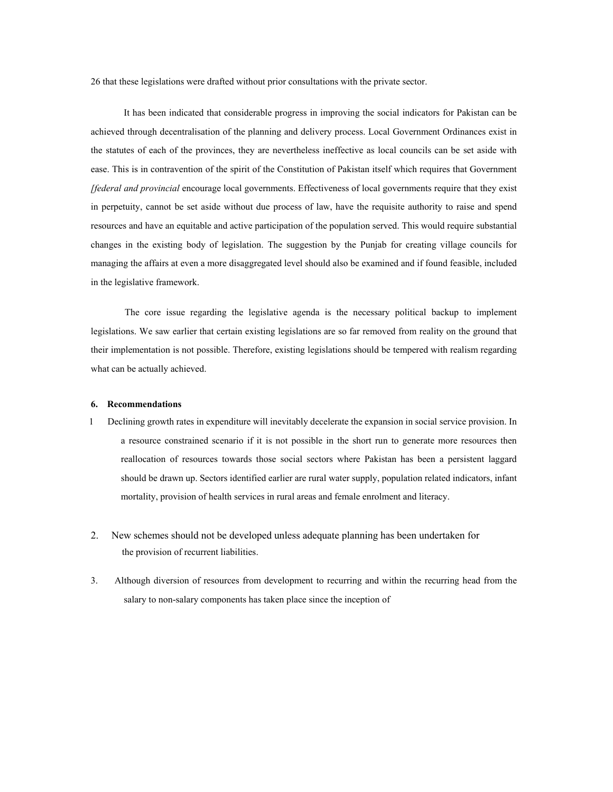26 that these legislations were drafted without prior consultations with the private sector.

It has been indicated that considerable progress in improving the social indicators for Pakistan can be achieved through decentralisation of the planning and delivery process. Local Government Ordinances exist in the statutes of each of the provinces, they are nevertheless ineffective as local councils can be set aside with ease. This is in contravention of the spirit of the Constitution of Pakistan itself which requires that Government *[federal and provincial* encourage local governments. Effectiveness of local governments require that they exist in perpetuity, cannot be set aside without due process of law, have the requisite authority to raise and spend resources and have an equitable and active participation of the population served. This would require substantial changes in the existing body of legislation. The suggestion by the Punjab for creating village councils for managing the affairs at even a more disaggregated level should also be examined and if found feasible, included in the legislative framework.

The core issue regarding the legislative agenda is the necessary political backup to implement legislations. We saw earlier that certain existing legislations are so far removed from reality on the ground that their implementation is not possible. Therefore, existing legislations should be tempered with realism regarding what can be actually achieved.

#### **6. Recommendations**

- 1 Declining growth rates in expenditure will inevitably decelerate the expansion in social service provision. In a resource constrained scenario if it is not possible in the short run to generate more resources then reallocation of resources towards those social sectors where Pakistan has been a persistent laggard should be drawn up. Sectors identified earlier are rural water supply, population related indicators, infant mortality, provision of health services in rural areas and female enrolment and literacy.
- 2. New schemes should not be developed unless adequate planning has been undertaken for the provision of recurrent liabilities.
- 3. Although diversion of resources from development to recurring and within the recurring head from the salary to non-salary components has taken place since the inception of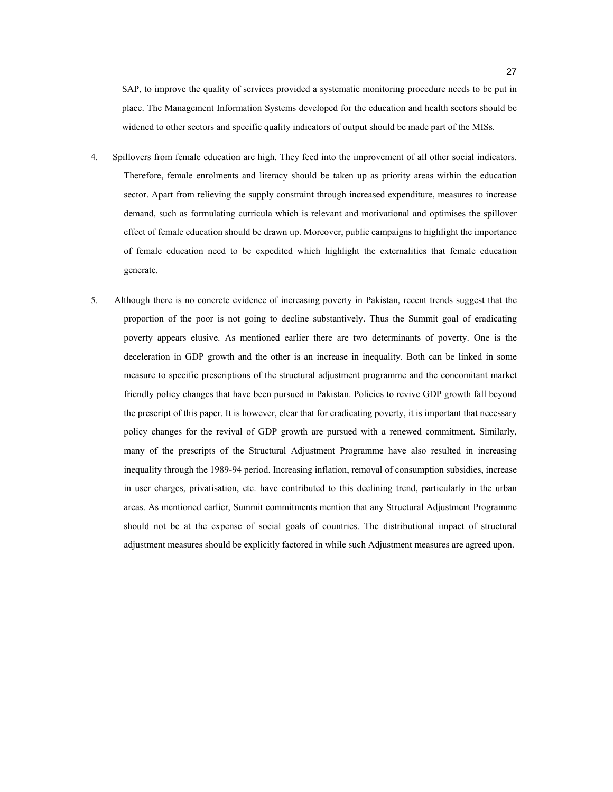SAP, to improve the quality of services provided a systematic monitoring procedure needs to be put in place. The Management Information Systems developed for the education and health sectors should be widened to other sectors and specific quality indicators of output should be made part of the MISs.

- 4. Spillovers from female education are high. They feed into the improvement of all other social indicators. Therefore, female enrolments and literacy should be taken up as priority areas within the education sector. Apart from relieving the supply constraint through increased expenditure, measures to increase demand, such as formulating curricula which is relevant and motivational and optimises the spillover effect of female education should be drawn up. Moreover, public campaigns to highlight the importance of female education need to be expedited which highlight the externalities that female education generate.
- 5. Although there is no concrete evidence of increasing poverty in Pakistan, recent trends suggest that the proportion of the poor is not going to decline substantively. Thus the Summit goal of eradicating poverty appears elusive. As mentioned earlier there are two determinants of poverty. One is the deceleration in GDP growth and the other is an increase in inequality. Both can be linked in some measure to specific prescriptions of the structural adjustment programme and the concomitant market friendly policy changes that have been pursued in Pakistan. Policies to revive GDP growth fall beyond the prescript of this paper. It is however, clear that for eradicating poverty, it is important that necessary policy changes for the revival of GDP growth are pursued with a renewed commitment. Similarly, many of the prescripts of the Structural Adjustment Programme have also resulted in increasing inequality through the 1989-94 period. Increasing inflation, removal of consumption subsidies, increase in user charges, privatisation, etc. have contributed to this declining trend, particularly in the urban areas. As mentioned earlier, Summit commitments mention that any Structural Adjustment Programme should not be at the expense of social goals of countries. The distributional impact of structural adjustment measures should be explicitly factored in while such Adjustment measures are agreed upon.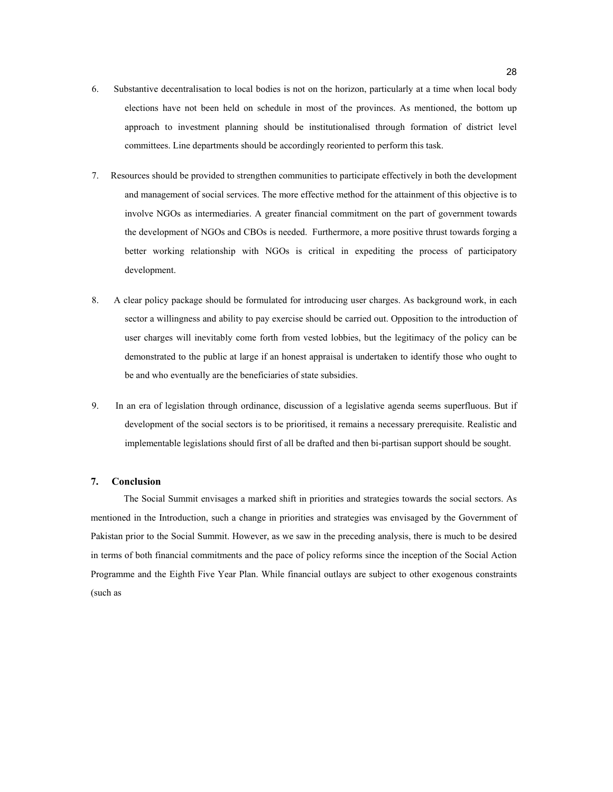- 6. Substantive decentralisation to local bodies is not on the horizon, particularly at a time when local body elections have not been held on schedule in most of the provinces. As mentioned, the bottom up approach to investment planning should be institutionalised through formation of district level committees. Line departments should be accordingly reoriented to perform this task.
- 7. Resources should be provided to strengthen communities to participate effectively in both the development and management of social services. The more effective method for the attainment of this objective is to involve NGOs as intermediaries. A greater financial commitment on the part of government towards the development of NGOs and CBOs is needed. Furthermore, a more positive thrust towards forging a better working relationship with NGOs is critical in expediting the process of participatory development.
- 8. A clear policy package should be formulated for introducing user charges. As background work, in each sector a willingness and ability to pay exercise should be carried out. Opposition to the introduction of user charges will inevitably come forth from vested lobbies, but the legitimacy of the policy can be demonstrated to the public at large if an honest appraisal is undertaken to identify those who ought to be and who eventually are the beneficiaries of state subsidies.
- 9. In an era of legislation through ordinance, discussion of a legislative agenda seems superfluous. But if development of the social sectors is to be prioritised, it remains a necessary prerequisite. Realistic and implementable legislations should first of all be drafted and then bi-partisan support should be sought.

#### **7. Conclusion**

The Social Summit envisages a marked shift in priorities and strategies towards the social sectors. As mentioned in the Introduction, such a change in priorities and strategies was envisaged by the Government of Pakistan prior to the Social Summit. However, as we saw in the preceding analysis, there is much to be desired in terms of both financial commitments and the pace of policy reforms since the inception of the Social Action Programme and the Eighth Five Year Plan. While financial outlays are subject to other exogenous constraints (such as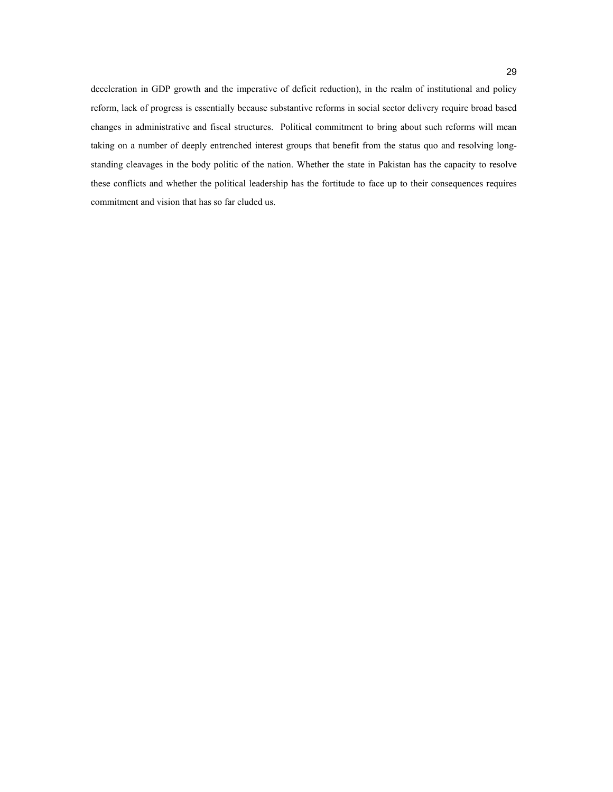deceleration in GDP growth and the imperative of deficit reduction), in the realm of institutional and policy reform, lack of progress is essentially because substantive reforms in social sector delivery require broad based changes in administrative and fiscal structures. Political commitment to bring about such reforms will mean taking on a number of deeply entrenched interest groups that benefit from the status quo and resolving longstanding cleavages in the body politic of the nation. Whether the state in Pakistan has the capacity to resolve these conflicts and whether the political leadership has the fortitude to face up to their consequences requires commitment and vision that has so far eluded us.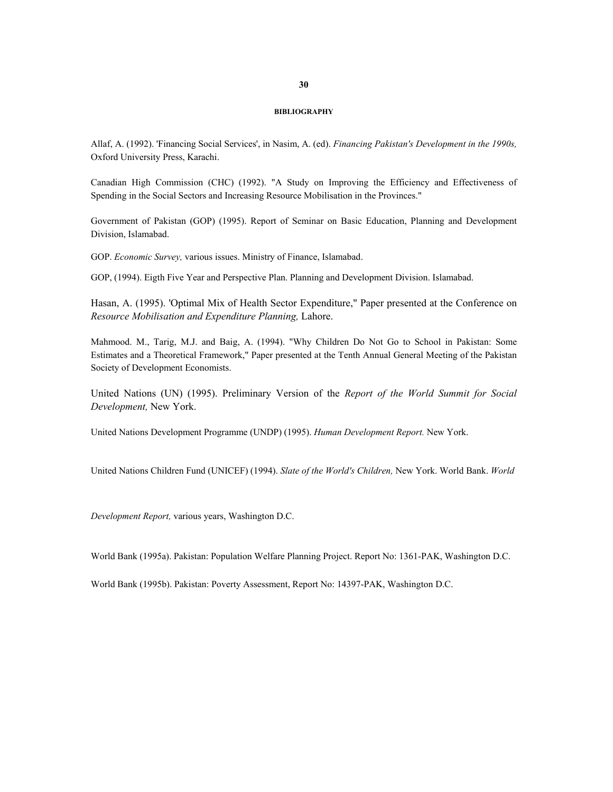#### **BIBLIOGRAPHY**

Allaf, A. (1992). 'Financing Social Services', in Nasim, A. (ed). *Financing Pakistan's Development in the 1990s,* Oxford University Press, Karachi.

Canadian High Commission (CHC) (1992). "A Study on Improving the Efficiency and Effectiveness of Spending in the Social Sectors and Increasing Resource Mobilisation in the Provinces."

Government of Pakistan (GOP) (1995). Report of Seminar on Basic Education, Planning and Development Division, Islamabad.

GOP. *Economic Survey,* various issues. Ministry of Finance, Islamabad.

GOP, (1994). Eigth Five Year and Perspective Plan. Planning and Development Division. Islamabad.

Hasan, A. (1995). 'Optimal Mix of Health Sector Expenditure," Paper presented at the Conference on *Resource Mobilisation and Expenditure Planning,* Lahore.

Mahmood. M., Tarig, M.J. and Baig, A. (1994). "Why Children Do Not Go to School in Pakistan: Some Estimates and a Theoretical Framework," Paper presented at the Tenth Annual General Meeting of the Pakistan Society of Development Economists.

United Nations (UN) (1995). Preliminary Version of the *Report of the World Summit for Social Development,* New York.

United Nations Development Programme (UNDP) (1995). *Human Development Report.* New York.

United Nations Children Fund (UNICEF) (1994). *Slate of the World's Children,* New York. World Bank. *World* 

*Development Report,* various years, Washington D.C.

World Bank (1995a). Pakistan: Population Welfare Planning Project. Report No: 1361-PAK, Washington D.C.

World Bank (1995b). Pakistan: Poverty Assessment, Report No: 14397-PAK, Washington D.C.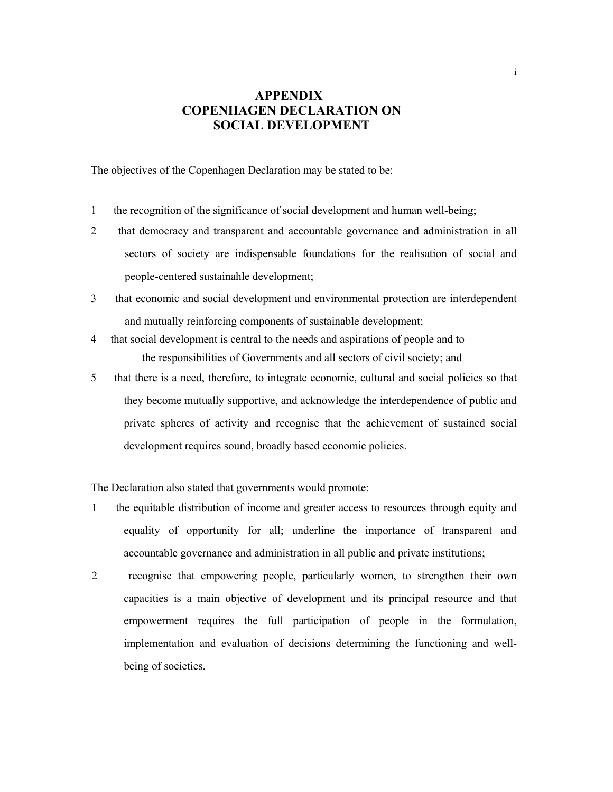## **APPENDIX COPENHAGEN DECLARATION ON SOCIAL DEVELOPMENT**

The objectives of the Copenhagen Declaration may be stated to be:

- 1 the recognition of the significance of social development and human well-being;
- 2 that democracy and transparent and accountable governance and administration in all sectors of society are indispensable foundations for the realisation of social and people-centered sustainahle development;
- 3 that economic and social development and environmental protection are interdependent and mutually reinforcing components of sustainable development;
- 4 that social development is central to the needs and aspirations of people and to the responsibilities of Governments and all sectors of civil society; and
- 5 that there is a need, therefore, to integrate economic, cultural and social policies so that they become mutually supportive, and acknowledge the interdependence of public and private spheres of activity and recognise that the achievement of sustained social development requires sound, broadly based economic policies.

The Declaration also stated that governments would promote:

- 1 the equitable distribution of income and greater access to resources through equity and equality of opportunity for all; underline the importance of transparent and accountable governance and administration in all public and private institutions;
- 2 recognise that empowering people, particularly women, to strengthen their own capacities is a main objective of development and its principal resource and that empowerment requires the full participation of people in the formulation, implementation and evaluation of decisions determining the functioning and wellbeing of societies.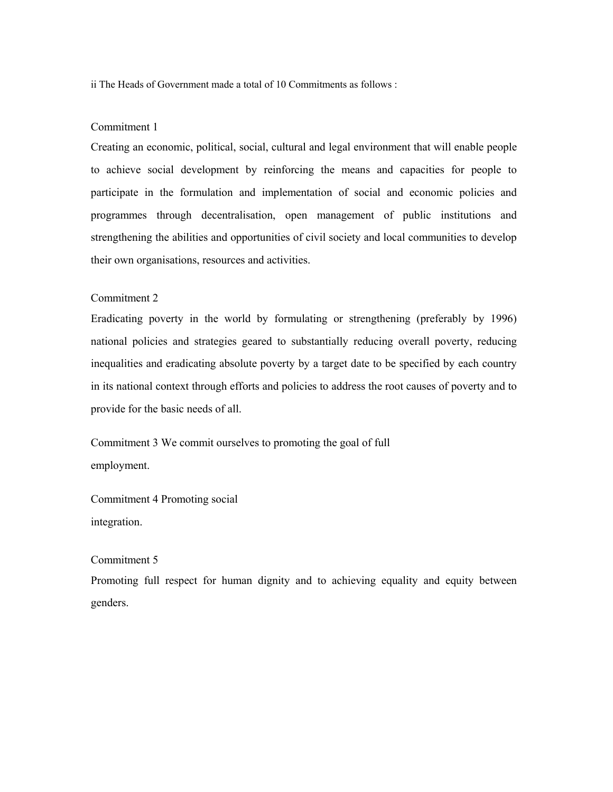ii The Heads of Government made a total of 10 Commitments as follows :

## Commitment 1

Creating an economic, political, social, cultural and legal environment that will enable people to achieve social development by reinforcing the means and capacities for people to participate in the formulation and implementation of social and economic policies and programmes through decentralisation, open management of public institutions and strengthening the abilities and opportunities of civil society and local communities to develop their own organisations, resources and activities.

## Commitment 2

Eradicating poverty in the world by formulating or strengthening (preferably by 1996) national policies and strategies geared to substantially reducing overall poverty, reducing inequalities and eradicating absolute poverty by a target date to be specified by each country in its national context through efforts and policies to address the root causes of poverty and to provide for the basic needs of all.

Commitment 3 We commit ourselves to promoting the goal of full employment.

Commitment 4 Promoting social integration.

## Commitment 5

Promoting full respect for human dignity and to achieving equality and equity between genders.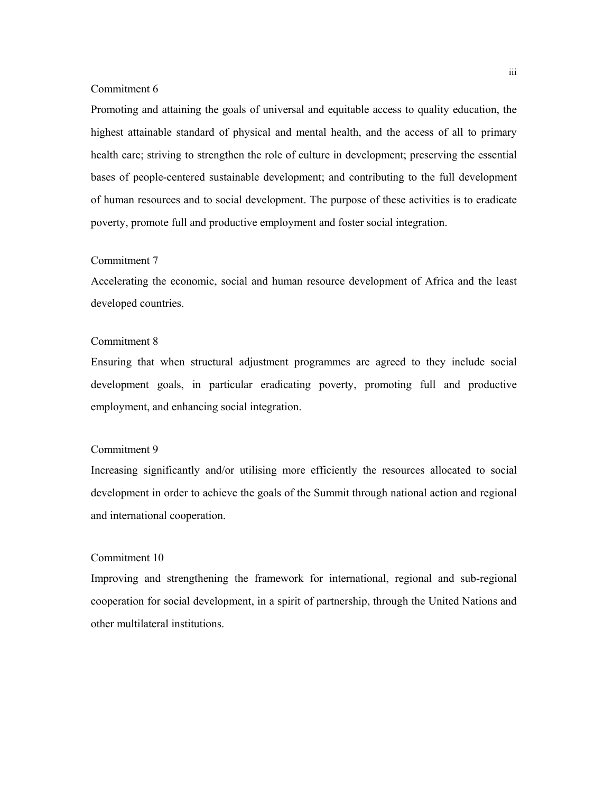## Commitment 6

Promoting and attaining the goals of universal and equitable access to quality education, the highest attainable standard of physical and mental health, and the access of all to primary health care; striving to strengthen the role of culture in development; preserving the essential bases of people-centered sustainable development; and contributing to the full development of human resources and to social development. The purpose of these activities is to eradicate poverty, promote full and productive employment and foster social integration.

## Commitment 7

Accelerating the economic, social and human resource development of Africa and the least developed countries.

## Commitment 8

Ensuring that when structural adjustment programmes are agreed to they include social development goals, in particular eradicating poverty, promoting full and productive employment, and enhancing social integration.

## Commitment 9

Increasing significantly and/or utilising more efficiently the resources allocated to social development in order to achieve the goals of the Summit through national action and regional and international cooperation.

## Commitment 10

Improving and strengthening the framework for international, regional and sub-regional cooperation for social development, in a spirit of partnership, through the United Nations and other multilateral institutions.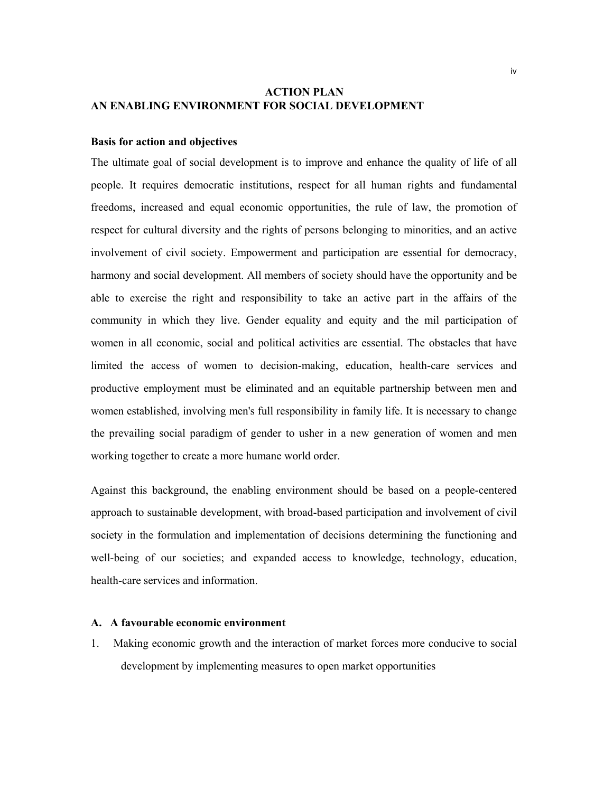## **ACTION PLAN AN ENABLING ENVIRONMENT FOR SOCIAL DEVELOPMENT**

## **Basis for action and objectives**

The ultimate goal of social development is to improve and enhance the quality of life of all people. It requires democratic institutions, respect for all human rights and fundamental freedoms, increased and equal economic opportunities, the rule of law, the promotion of respect for cultural diversity and the rights of persons belonging to minorities, and an active involvement of civil society. Empowerment and participation are essential for democracy, harmony and social development. All members of society should have the opportunity and be able to exercise the right and responsibility to take an active part in the affairs of the community in which they live. Gender equality and equity and the mil participation of women in all economic, social and political activities are essential. The obstacles that have limited the access of women to decision-making, education, health-care services and productive employment must be eliminated and an equitable partnership between men and women established, involving men's full responsibility in family life. It is necessary to change the prevailing social paradigm of gender to usher in a new generation of women and men working together to create a more humane world order.

Against this background, the enabling environment should be based on a people-centered approach to sustainable development, with broad-based participation and involvement of civil society in the formulation and implementation of decisions determining the functioning and well-being of our societies; and expanded access to knowledge, technology, education, health-care services and information.

## **A. A favourable economic environment**

1. Making economic growth and the interaction of market forces more conducive to social development by implementing measures to open market opportunities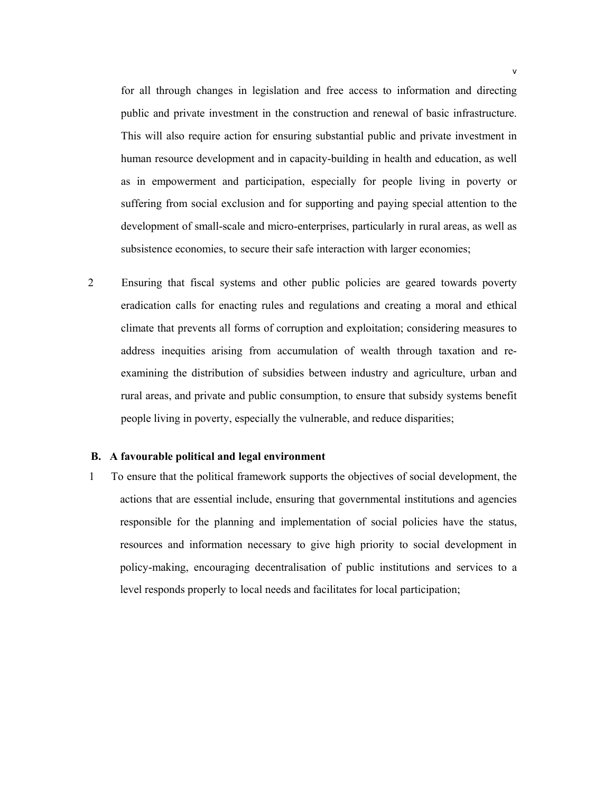for all through changes in legislation and free access to information and directing public and private investment in the construction and renewal of basic infrastructure. This will also require action for ensuring substantial public and private investment in human resource development and in capacity-building in health and education, as well as in empowerment and participation, especially for people living in poverty or suffering from social exclusion and for supporting and paying special attention to the development of small-scale and micro-enterprises, particularly in rural areas, as well as subsistence economies, to secure their safe interaction with larger economies;

2 Ensuring that fiscal systems and other public policies are geared towards poverty eradication calls for enacting rules and regulations and creating a moral and ethical climate that prevents all forms of corruption and exploitation; considering measures to address inequities arising from accumulation of wealth through taxation and reexamining the distribution of subsidies between industry and agriculture, urban and rural areas, and private and public consumption, to ensure that subsidy systems benefit people living in poverty, especially the vulnerable, and reduce disparities;

## **B. A favourable political and legal environment**

1 To ensure that the political framework supports the objectives of social development, the actions that are essential include, ensuring that governmental institutions and agencies responsible for the planning and implementation of social policies have the status, resources and information necessary to give high priority to social development in policy-making, encouraging decentralisation of public institutions and services to a level responds properly to local needs and facilitates for local participation;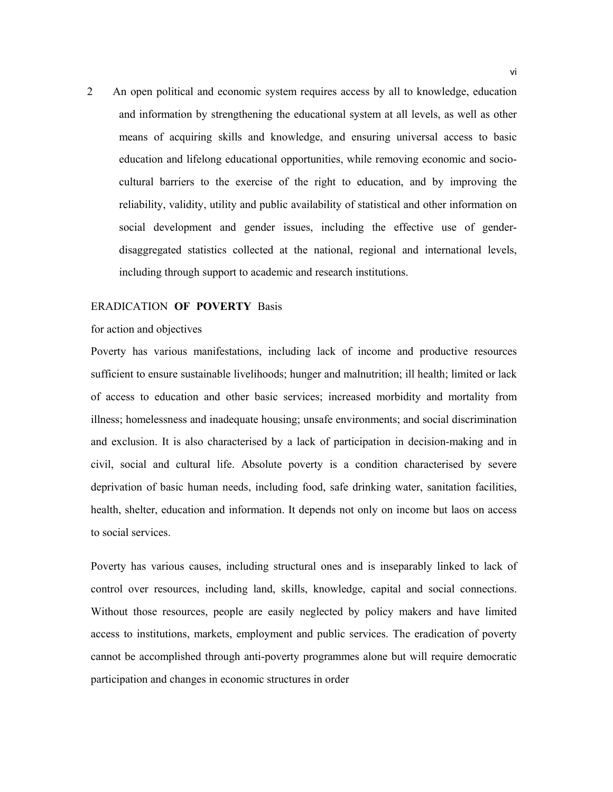2 An open political and economic system requires access by all to knowledge, education and information by strengthening the educational system at all levels, as well as other means of acquiring skills and knowledge, and ensuring universal access to basic education and lifelong educational opportunities, while removing economic and sociocultural barriers to the exercise of the right to education, and by improving the reliability, validity, utility and public availability of statistical and other information on social development and gender issues, including the effective use of genderdisaggregated statistics collected at the national, regional and international levels, including through support to academic and research institutions.

#### ERADICATION **OF POVERTY** Basis

### for action and objectives

Poverty has various manifestations, including lack of income and productive resources sufficient to ensure sustainable livelihoods; hunger and malnutrition; ill health; limited or lack of access to education and other basic services; increased morbidity and mortality from illness; homelessness and inadequate housing; unsafe environments; and social discrimination and exclusion. It is also characterised by a lack of participation in decision-making and in civil, social and cultural life. Absolute poverty is a condition characterised by severe deprivation of basic human needs, including food, safe drinking water, sanitation facilities, health, shelter, education and information. It depends not only on income but laos on access to social services.

Poverty has various causes, including structural ones and is inseparably linked to lack of control over resources, including land, skills, knowledge, capital and social connections. Without those resources, people are easily neglected by policy makers and have limited access to institutions, markets, employment and public services. The eradication of poverty cannot be accomplished through anti-poverty programmes alone but will require democratic participation and changes in economic structures in order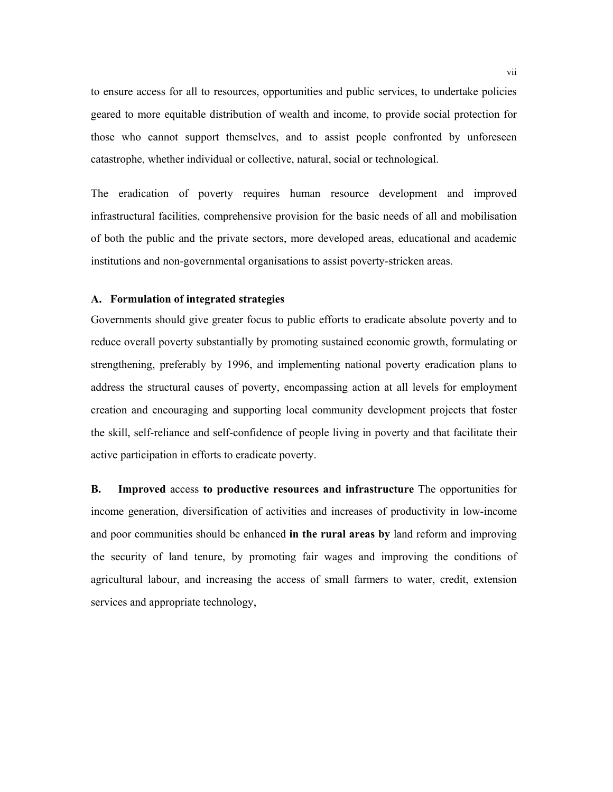to ensure access for all to resources, opportunities and public services, to undertake policies geared to more equitable distribution of wealth and income, to provide social protection for those who cannot support themselves, and to assist people confronted by unforeseen catastrophe, whether individual or collective, natural, social or technological.

The eradication of poverty requires human resource development and improved infrastructural facilities, comprehensive provision for the basic needs of all and mobilisation of both the public and the private sectors, more developed areas, educational and academic institutions and non-governmental organisations to assist poverty-stricken areas.

## **A. Formulation of integrated strategies**

Governments should give greater focus to public efforts to eradicate absolute poverty and to reduce overall poverty substantially by promoting sustained economic growth, formulating or strengthening, preferably by 1996, and implementing national poverty eradication plans to address the structural causes of poverty, encompassing action at all levels for employment creation and encouraging and supporting local community development projects that foster the skill, self-reliance and self-confidence of people living in poverty and that facilitate their active participation in efforts to eradicate poverty.

**B. Improved** access **to productive resources and infrastructure** The opportunities for income generation, diversification of activities and increases of productivity in low-income and poor communities should be enhanced **in the rural areas by** land reform and improving the security of land tenure, by promoting fair wages and improving the conditions of agricultural labour, and increasing the access of small farmers to water, credit, extension services and appropriate technology,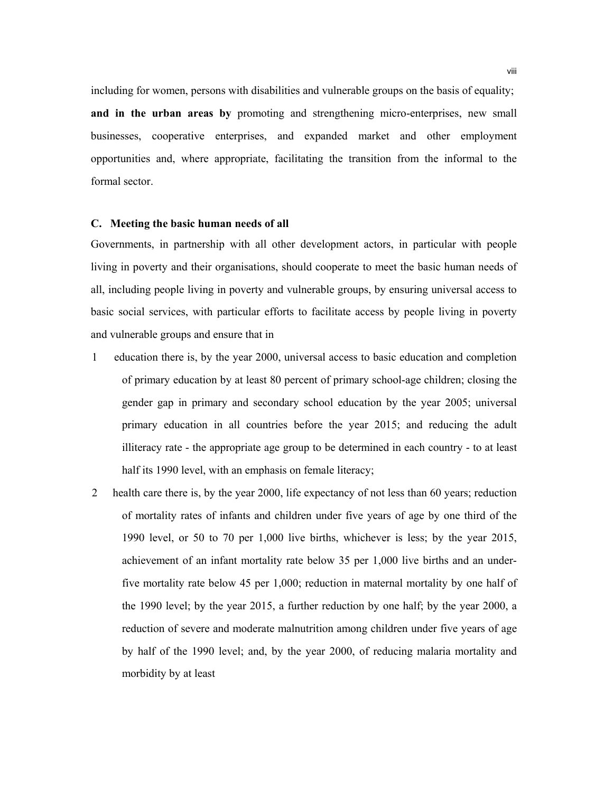including for women, persons with disabilities and vulnerable groups on the basis of equality; **and in the urban areas by** promoting and strengthening micro-enterprises, new small businesses, cooperative enterprises, and expanded market and other employment opportunities and, where appropriate, facilitating the transition from the informal to the formal sector.

### **C. Meeting the basic human needs of all**

Governments, in partnership with all other development actors, in particular with people living in poverty and their organisations, should cooperate to meet the basic human needs of all, including people living in poverty and vulnerable groups, by ensuring universal access to basic social services, with particular efforts to facilitate access by people living in poverty and vulnerable groups and ensure that in

- 1 education there is, by the year 2000, universal access to basic education and completion of primary education by at least 80 percent of primary school-age children; closing the gender gap in primary and secondary school education by the year 2005; universal primary education in all countries before the year 2015; and reducing the adult illiteracy rate - the appropriate age group to be determined in each country - to at least half its 1990 level, with an emphasis on female literacy;
- 2 health care there is, by the year 2000, life expectancy of not less than 60 years; reduction of mortality rates of infants and children under five years of age by one third of the 1990 level, or 50 to 70 per 1,000 live births, whichever is less; by the year 2015, achievement of an infant mortality rate below 35 per 1,000 live births and an underfive mortality rate below 45 per 1,000; reduction in maternal mortality by one half of the 1990 level; by the year 2015, a further reduction by one half; by the year 2000, a reduction of severe and moderate malnutrition among children under five years of age by half of the 1990 level; and, by the year 2000, of reducing malaria mortality and morbidity by at least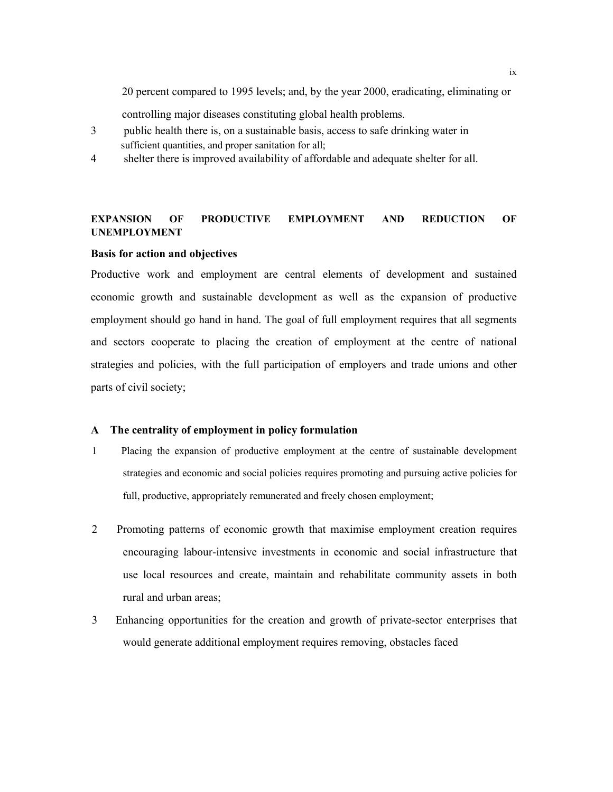20 percent compared to 1995 levels; and, by the year 2000, eradicating, eliminating or

controlling major diseases constituting global health problems.

- 3 public health there is, on a sustainable basis, access to safe drinking water in sufficient quantities, and proper sanitation for all;
- 4 shelter there is improved availability of affordable and adequate shelter for all.

## **EXPANSION OF PRODUCTIVE EMPLOYMENT AND REDUCTION OF UNEMPLOYMENT**

## **Basis for action and objectives**

Productive work and employment are central elements of development and sustained economic growth and sustainable development as well as the expansion of productive employment should go hand in hand. The goal of full employment requires that all segments and sectors cooperate to placing the creation of employment at the centre of national strategies and policies, with the full participation of employers and trade unions and other parts of civil society;

### **A The centrality of employment in policy formulation**

- 1 Placing the expansion of productive employment at the centre of sustainable development strategies and economic and social policies requires promoting and pursuing active policies for full, productive, appropriately remunerated and freely chosen employment;
- 2 Promoting patterns of economic growth that maximise employment creation requires encouraging labour-intensive investments in economic and social infrastructure that use local resources and create, maintain and rehabilitate community assets in both rural and urban areas;
- 3 Enhancing opportunities for the creation and growth of private-sector enterprises that would generate additional employment requires removing, obstacles faced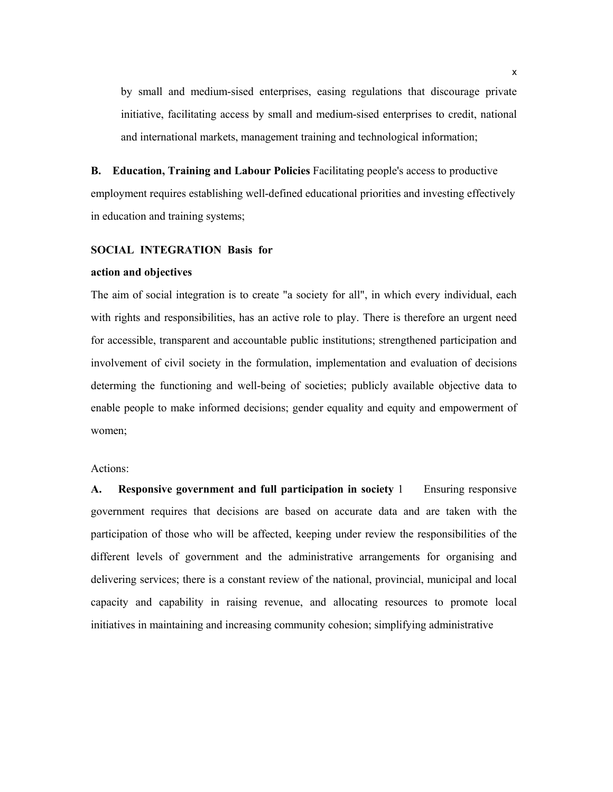by small and medium-sised enterprises, easing regulations that discourage private initiative, facilitating access by small and medium-sised enterprises to credit, national and international markets, management training and technological information;

**B. Education, Training and Labour Policies** Facilitating people's access to productive employment requires establishing well-defined educational priorities and investing effectively in education and training systems;

## **SOCIAL INTEGRATION Basis for**

#### **action and objectives**

The aim of social integration is to create "a society for all", in which every individual, each with rights and responsibilities, has an active role to play. There is therefore an urgent need for accessible, transparent and accountable public institutions; strengthened participation and involvement of civil society in the formulation, implementation and evaluation of decisions determing the functioning and well-being of societies; publicly available objective data to enable people to make informed decisions; gender equality and equity and empowerment of women;

## Actions:

**A. Responsive government and full participation in society** 1 Ensuring responsive government requires that decisions are based on accurate data and are taken with the participation of those who will be affected, keeping under review the responsibilities of the different levels of government and the administrative arrangements for organising and delivering services; there is a constant review of the national, provincial, municipal and local capacity and capability in raising revenue, and allocating resources to promote local initiatives in maintaining and increasing community cohesion; simplifying administrative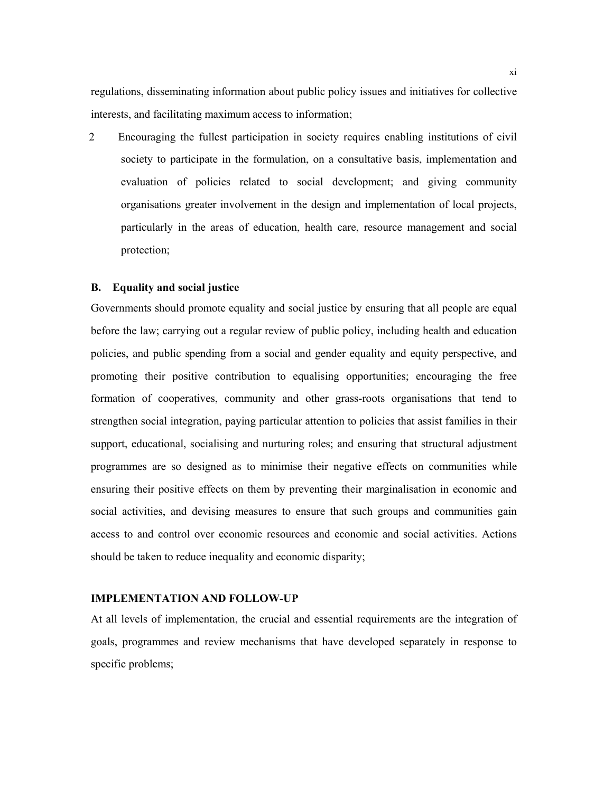regulations, disseminating information about public policy issues and initiatives for collective interests, and facilitating maximum access to information;

2 Encouraging the fullest participation in society requires enabling institutions of civil society to participate in the formulation, on a consultative basis, implementation and evaluation of policies related to social development; and giving community organisations greater involvement in the design and implementation of local projects, particularly in the areas of education, health care, resource management and social protection;

## **B. Equality and social justice**

Governments should promote equality and social justice by ensuring that all people are equal before the law; carrying out a regular review of public policy, including health and education policies, and public spending from a social and gender equality and equity perspective, and promoting their positive contribution to equalising opportunities; encouraging the free formation of cooperatives, community and other grass-roots organisations that tend to strengthen social integration, paying particular attention to policies that assist families in their support, educational, socialising and nurturing roles; and ensuring that structural adjustment programmes are so designed as to minimise their negative effects on communities while ensuring their positive effects on them by preventing their marginalisation in economic and social activities, and devising measures to ensure that such groups and communities gain access to and control over economic resources and economic and social activities. Actions should be taken to reduce inequality and economic disparity;

## **IMPLEMENTATION AND FOLLOW-UP**

At all levels of implementation, the crucial and essential requirements are the integration of goals, programmes and review mechanisms that have developed separately in response to specific problems;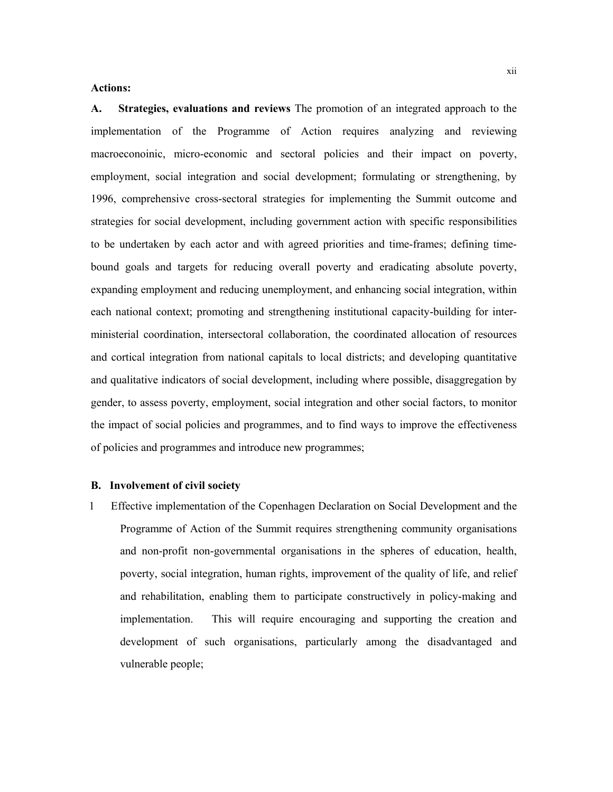## **Actions:**

**A. Strategies, evaluations and reviews** The promotion of an integrated approach to the implementation of the Programme of Action requires analyzing and reviewing macroeconoinic, micro-economic and sectoral policies and their impact on poverty, employment, social integration and social development; formulating or strengthening, by 1996, comprehensive cross-sectoral strategies for implementing the Summit outcome and strategies for social development, including government action with specific responsibilities to be undertaken by each actor and with agreed priorities and time-frames; defining timebound goals and targets for reducing overall poverty and eradicating absolute poverty, expanding employment and reducing unemployment, and enhancing social integration, within each national context; promoting and strengthening institutional capacity-building for interministerial coordination, intersectoral collaboration, the coordinated allocation of resources and cortical integration from national capitals to local districts; and developing quantitative and qualitative indicators of social development, including where possible, disaggregation by gender, to assess poverty, employment, social integration and other social factors, to monitor the impact of social policies and programmes, and to find ways to improve the effectiveness of policies and programmes and introduce new programmes;

#### **B. Involvement of civil society**

1 Effective implementation of the Copenhagen Declaration on Social Development and the Programme of Action of the Summit requires strengthening community organisations and non-profit non-governmental organisations in the spheres of education, health, poverty, social integration, human rights, improvement of the quality of life, and relief and rehabilitation, enabling them to participate constructively in policy-making and implementation. This will require encouraging and supporting the creation and development of such organisations, particularly among the disadvantaged and vulnerable people;